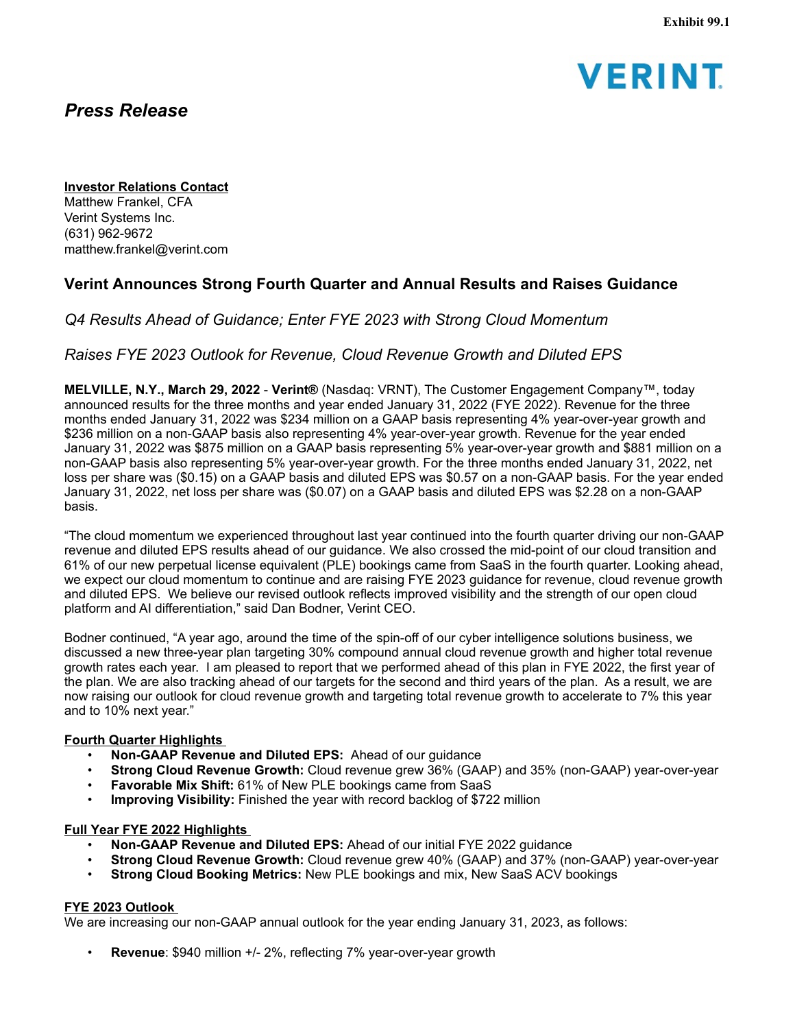

# *Press Release*

**Investor Relations Contact** Matthew Frankel, CFA Verint Systems Inc.

(631) 962-9672 matthew.frankel@verint.com

## **Verint Announces Strong Fourth Quarter and Annual Results and Raises Guidance**

## *Q4 Results Ahead of Guidance; Enter FYE 2023 with Strong Cloud Momentum*

## *Raises FYE 2023 Outlook for Revenue, Cloud Revenue Growth and Diluted EPS*

**MELVILLE, N.Y., March 29, 2022** - **Verint®** (Nasdaq: VRNT), The Customer Engagement Company™, today announced results for the three months and year ended January 31, 2022 (FYE 2022). Revenue for the three months ended January 31, 2022 was \$234 million on a GAAP basis representing 4% year-over-year growth and \$236 million on a non-GAAP basis also representing 4% year-over-year growth. Revenue for the year ended January 31, 2022 was \$875 million on a GAAP basis representing 5% year-over-year growth and \$881 million on a non-GAAP basis also representing 5% year-over-year growth. For the three months ended January 31, 2022, net loss per share was (\$0.15) on a GAAP basis and diluted EPS was \$0.57 on a non-GAAP basis. For the year ended January 31, 2022, net loss per share was (\$0.07) on a GAAP basis and diluted EPS was \$2.28 on a non-GAAP basis.

"The cloud momentum we experienced throughout last year continued into the fourth quarter driving our non-GAAP revenue and diluted EPS results ahead of our guidance. We also crossed the mid-point of our cloud transition and 61% of our new perpetual license equivalent (PLE) bookings came from SaaS in the fourth quarter. Looking ahead, we expect our cloud momentum to continue and are raising FYE 2023 guidance for revenue, cloud revenue growth and diluted EPS. We believe our revised outlook reflects improved visibility and the strength of our open cloud platform and AI differentiation," said Dan Bodner, Verint CEO.

Bodner continued, "A year ago, around the time of the spin-off of our cyber intelligence solutions business, we discussed a new three-year plan targeting 30% compound annual cloud revenue growth and higher total revenue growth rates each year. I am pleased to report that we performed ahead of this plan in FYE 2022, the first year of the plan. We are also tracking ahead of our targets for the second and third years of the plan. As a result, we are now raising our outlook for cloud revenue growth and targeting total revenue growth to accelerate to 7% this year and to 10% next year."

## **Fourth Quarter Highlights**

- **Non-GAAP Revenue and Diluted EPS:** Ahead of our guidance
- **Strong Cloud Revenue Growth:** Cloud revenue grew 36% (GAAP) and 35% (non-GAAP) year-over-year
- **Favorable Mix Shift:** 61% of New PLE bookings came from SaaS
- **Improving Visibility:** Finished the year with record backlog of \$722 million

## **Full Year FYE 2022 Highlights**

- **Non-GAAP Revenue and Diluted EPS:** Ahead of our initial FYE 2022 guidance
- **Strong Cloud Revenue Growth:** Cloud revenue grew 40% (GAAP) and 37% (non-GAAP) year-over-year
- **Strong Cloud Booking Metrics:** New PLE bookings and mix, New SaaS ACV bookings

## **FYE 2023 Outlook**

We are increasing our non-GAAP annual outlook for the year ending January 31, 2023, as follows:

• **Revenue**: \$940 million +/- 2%, reflecting 7% year-over-year growth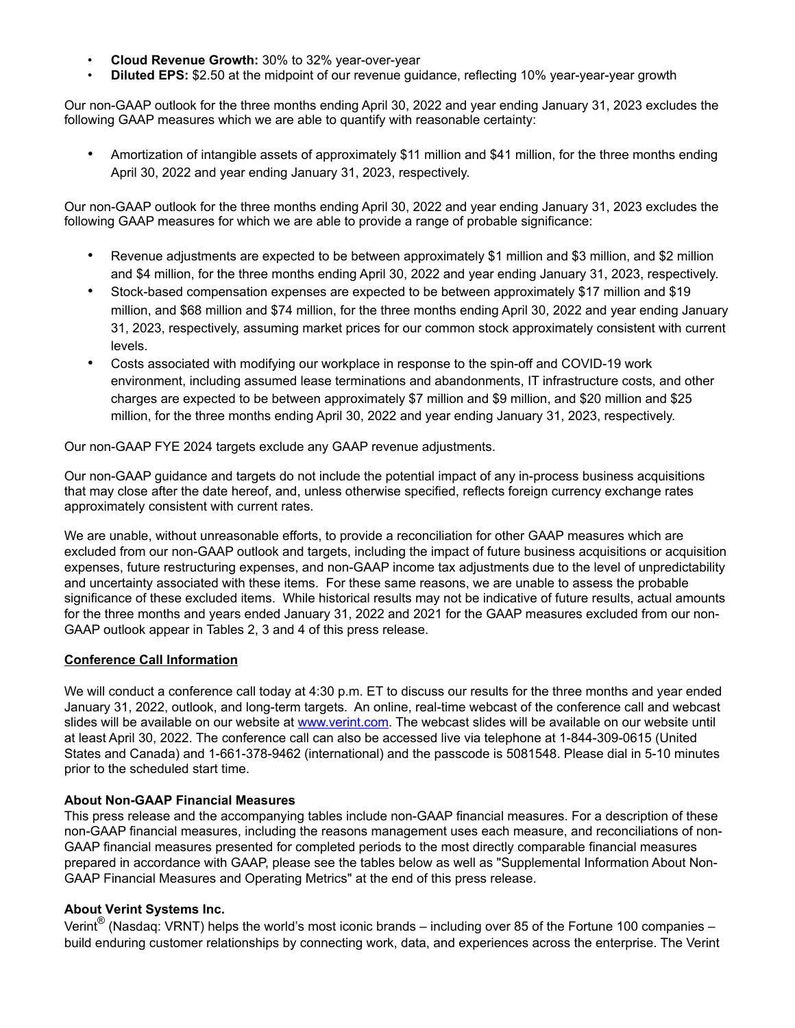- **Cloud Revenue Growth:** 30% to 32% year-over-year
- **Diluted EPS:** \$2.50 at the midpoint of our revenue guidance, reflecting 10% year-year-year growth

Our non-GAAP outlook for the three months ending April 30, 2022 and year ending January 31, 2023 excludes the following GAAP measures which we are able to quantify with reasonable certainty:

• Amortization of intangible assets of approximately \$11 million and \$41 million, for the three months ending April 30, 2022 and year ending January 31, 2023, respectively.

Our non-GAAP outlook for the three months ending April 30, 2022 and year ending January 31, 2023 excludes the following GAAP measures for which we are able to provide a range of probable significance:

- Revenue adjustments are expected to be between approximately \$1 million and \$3 million, and \$2 million and \$4 million, for the three months ending April 30, 2022 and year ending January 31, 2023, respectively.
- Stock-based compensation expenses are expected to be between approximately \$17 million and \$19 million, and \$68 million and \$74 million, for the three months ending April 30, 2022 and year ending January 31, 2023, respectively, assuming market prices for our common stock approximately consistent with current levels.
- Costs associated with modifying our workplace in response to the spin-off and COVID-19 work environment, including assumed lease terminations and abandonments, IT infrastructure costs, and other charges are expected to be between approximately \$7 million and \$9 million, and \$20 million and \$25 million, for the three months ending April 30, 2022 and year ending January 31, 2023, respectively.

Our non-GAAP FYE 2024 targets exclude any GAAP revenue adjustments.

Our non-GAAP guidance and targets do not include the potential impact of any in-process business acquisitions that may close after the date hereof, and, unless otherwise specified, reflects foreign currency exchange rates approximately consistent with current rates.

We are unable, without unreasonable efforts, to provide a reconciliation for other GAAP measures which are excluded from our non-GAAP outlook and targets, including the impact of future business acquisitions or acquisition expenses, future restructuring expenses, and non-GAAP income tax adjustments due to the level of unpredictability and uncertainty associated with these items. For these same reasons, we are unable to assess the probable significance of these excluded items. While historical results may not be indicative of future results, actual amounts for the three months and years ended January 31, 2022 and 2021 for the GAAP measures excluded from our non-GAAP outlook appear in Tables 2, 3 and 4 of this press release.

## **Conference Call Information**

We will conduct a conference call today at 4:30 p.m. ET to discuss our results for the three months and year ended January 31, 2022, outlook, and long-term targets. An online, real-time webcast of the conference call and webcast slides will be available on our website at www.verint.com. The webcast slides will be available on our website until at least April 30, 2022. The conference call can also be accessed live via telephone at 1-844-309-0615 (United States and Canada) and 1-661-378-9462 (international) and the passcode is 5081548. Please dial in 5-10 minutes prior to the scheduled start time.

## **About Non-GAAP Financial Measures**

This press release and the accompanying tables include non-GAAP financial measures. For a description of these non-GAAP financial measures, including the reasons management uses each measure, and reconciliations of non-GAAP financial measures presented for completed periods to the most directly comparable financial measures prepared in accordance with GAAP, please see the tables below as well as "Supplemental Information About Non-GAAP Financial Measures and Operating Metrics" at the end of this press release.

## **About Verint Systems Inc.**

Verint $^{\circledR}$  (Nasdaq: VRNT) helps the world's most iconic brands – including over 85 of the Fortune 100 companies – build enduring customer relationships by connecting work, data, and experiences across the enterprise. The Verint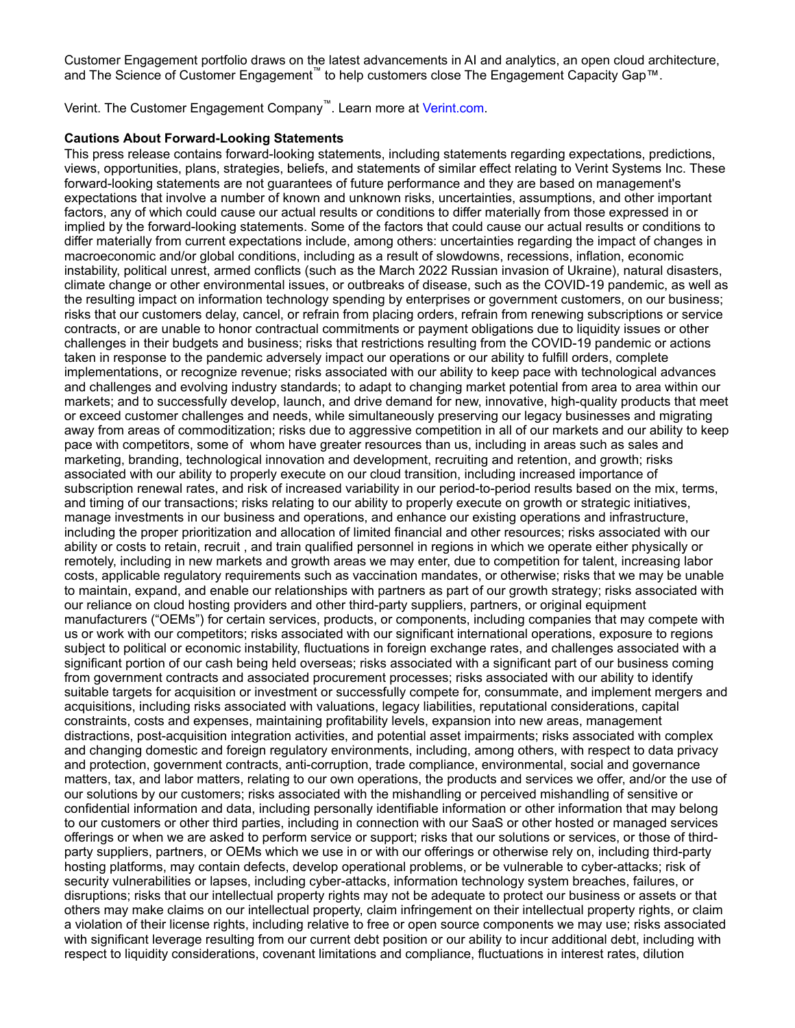Customer Engagement portfolio draws on the latest advancements in AI and analytics, an open cloud architecture, and The Science of Customer Engagement™ to help customers close The Engagement Capacity Gap™.

Verint. The Customer Engagement Company™. Learn more at Verint.com.

### **Cautions About Forward-Looking Statements**

This press release contains forward-looking statements, including statements regarding expectations, predictions, views, opportunities, plans, strategies, beliefs, and statements of similar effect relating to Verint Systems Inc. These forward-looking statements are not guarantees of future performance and they are based on management's expectations that involve a number of known and unknown risks, uncertainties, assumptions, and other important factors, any of which could cause our actual results or conditions to differ materially from those expressed in or implied by the forward-looking statements. Some of the factors that could cause our actual results or conditions to differ materially from current expectations include, among others: uncertainties regarding the impact of changes in macroeconomic and/or global conditions, including as a result of slowdowns, recessions, inflation, economic instability, political unrest, armed conflicts (such as the March 2022 Russian invasion of Ukraine), natural disasters, climate change or other environmental issues, or outbreaks of disease, such as the COVID-19 pandemic, as well as the resulting impact on information technology spending by enterprises or government customers, on our business; risks that our customers delay, cancel, or refrain from placing orders, refrain from renewing subscriptions or service contracts, or are unable to honor contractual commitments or payment obligations due to liquidity issues or other challenges in their budgets and business; risks that restrictions resulting from the COVID-19 pandemic or actions taken in response to the pandemic adversely impact our operations or our ability to fulfill orders, complete implementations, or recognize revenue; risks associated with our ability to keep pace with technological advances and challenges and evolving industry standards; to adapt to changing market potential from area to area within our markets; and to successfully develop, launch, and drive demand for new, innovative, high-quality products that meet or exceed customer challenges and needs, while simultaneously preserving our legacy businesses and migrating away from areas of commoditization; risks due to aggressive competition in all of our markets and our ability to keep pace with competitors, some of whom have greater resources than us, including in areas such as sales and marketing, branding, technological innovation and development, recruiting and retention, and growth; risks associated with our ability to properly execute on our cloud transition, including increased importance of subscription renewal rates, and risk of increased variability in our period-to-period results based on the mix, terms, and timing of our transactions; risks relating to our ability to properly execute on growth or strategic initiatives, manage investments in our business and operations, and enhance our existing operations and infrastructure, including the proper prioritization and allocation of limited financial and other resources; risks associated with our ability or costs to retain, recruit , and train qualified personnel in regions in which we operate either physically or remotely, including in new markets and growth areas we may enter, due to competition for talent, increasing labor costs, applicable regulatory requirements such as vaccination mandates, or otherwise; risks that we may be unable to maintain, expand, and enable our relationships with partners as part of our growth strategy; risks associated with our reliance on cloud hosting providers and other third-party suppliers, partners, or original equipment manufacturers ("OEMs") for certain services, products, or components, including companies that may compete with us or work with our competitors; risks associated with our significant international operations, exposure to regions subject to political or economic instability, fluctuations in foreign exchange rates, and challenges associated with a significant portion of our cash being held overseas; risks associated with a significant part of our business coming from government contracts and associated procurement processes; risks associated with our ability to identify suitable targets for acquisition or investment or successfully compete for, consummate, and implement mergers and acquisitions, including risks associated with valuations, legacy liabilities, reputational considerations, capital constraints, costs and expenses, maintaining profitability levels, expansion into new areas, management distractions, post-acquisition integration activities, and potential asset impairments; risks associated with complex and changing domestic and foreign regulatory environments, including, among others, with respect to data privacy and protection, government contracts, anti-corruption, trade compliance, environmental, social and governance matters, tax, and labor matters, relating to our own operations, the products and services we offer, and/or the use of our solutions by our customers; risks associated with the mishandling or perceived mishandling of sensitive or confidential information and data, including personally identifiable information or other information that may belong to our customers or other third parties, including in connection with our SaaS or other hosted or managed services offerings or when we are asked to perform service or support; risks that our solutions or services, or those of thirdparty suppliers, partners, or OEMs which we use in or with our offerings or otherwise rely on, including third-party hosting platforms, may contain defects, develop operational problems, or be vulnerable to cyber-attacks; risk of security vulnerabilities or lapses, including cyber-attacks, information technology system breaches, failures, or disruptions; risks that our intellectual property rights may not be adequate to protect our business or assets or that others may make claims on our intellectual property, claim infringement on their intellectual property rights, or claim a violation of their license rights, including relative to free or open source components we may use; risks associated with significant leverage resulting from our current debt position or our ability to incur additional debt, including with respect to liquidity considerations, covenant limitations and compliance, fluctuations in interest rates, dilution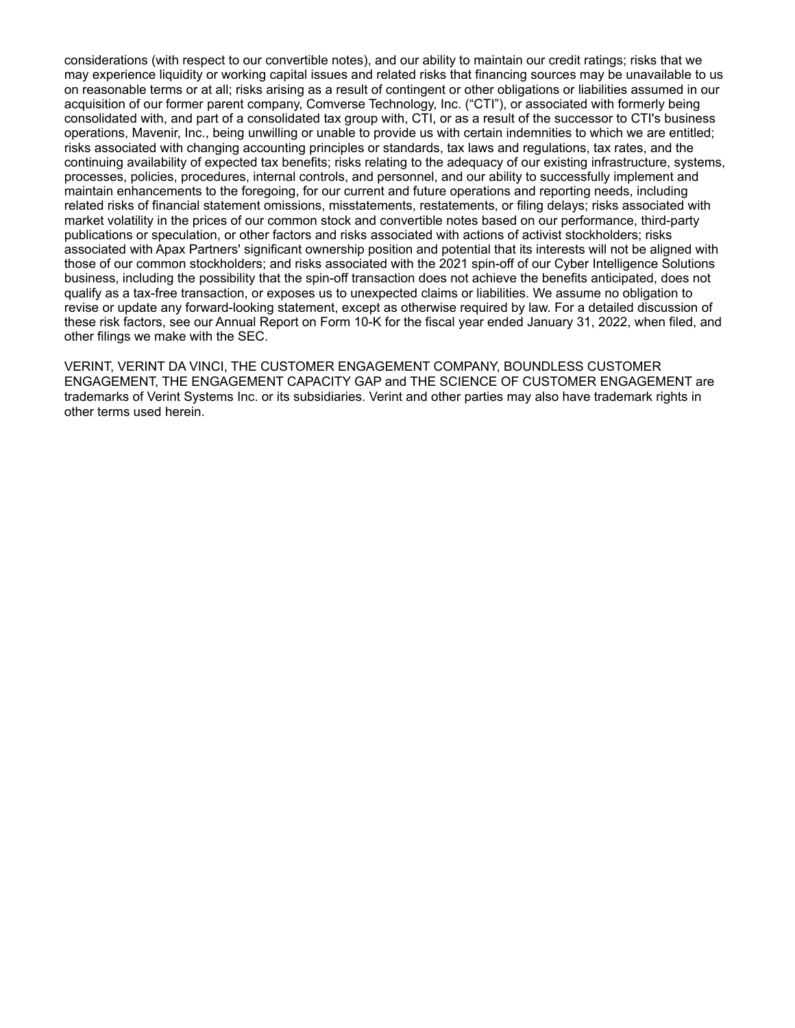considerations (with respect to our convertible notes), and our ability to maintain our credit ratings; risks that we may experience liquidity or working capital issues and related risks that financing sources may be unavailable to us on reasonable terms or at all; risks arising as a result of contingent or other obligations or liabilities assumed in our acquisition of our former parent company, Comverse Technology, Inc. ("CTI"), or associated with formerly being consolidated with, and part of a consolidated tax group with, CTI, or as a result of the successor to CTI's business operations, Mavenir, Inc., being unwilling or unable to provide us with certain indemnities to which we are entitled; risks associated with changing accounting principles or standards, tax laws and regulations, tax rates, and the continuing availability of expected tax benefits; risks relating to the adequacy of our existing infrastructure, systems, processes, policies, procedures, internal controls, and personnel, and our ability to successfully implement and maintain enhancements to the foregoing, for our current and future operations and reporting needs, including related risks of financial statement omissions, misstatements, restatements, or filing delays; risks associated with market volatility in the prices of our common stock and convertible notes based on our performance, third-party publications or speculation, or other factors and risks associated with actions of activist stockholders; risks associated with Apax Partners' significant ownership position and potential that its interests will not be aligned with those of our common stockholders; and risks associated with the 2021 spin-off of our Cyber Intelligence Solutions business, including the possibility that the spin-off transaction does not achieve the benefits anticipated, does not qualify as a tax-free transaction, or exposes us to unexpected claims or liabilities. We assume no obligation to revise or update any forward-looking statement, except as otherwise required by law. For a detailed discussion of these risk factors, see our Annual Report on Form 10-K for the fiscal year ended January 31, 2022, when filed, and other filings we make with the SEC.

VERINT, VERINT DA VINCI, THE CUSTOMER ENGAGEMENT COMPANY, BOUNDLESS CUSTOMER ENGAGEMENT, THE ENGAGEMENT CAPACITY GAP and THE SCIENCE OF CUSTOMER ENGAGEMENT are trademarks of Verint Systems Inc. or its subsidiaries. Verint and other parties may also have trademark rights in other terms used herein.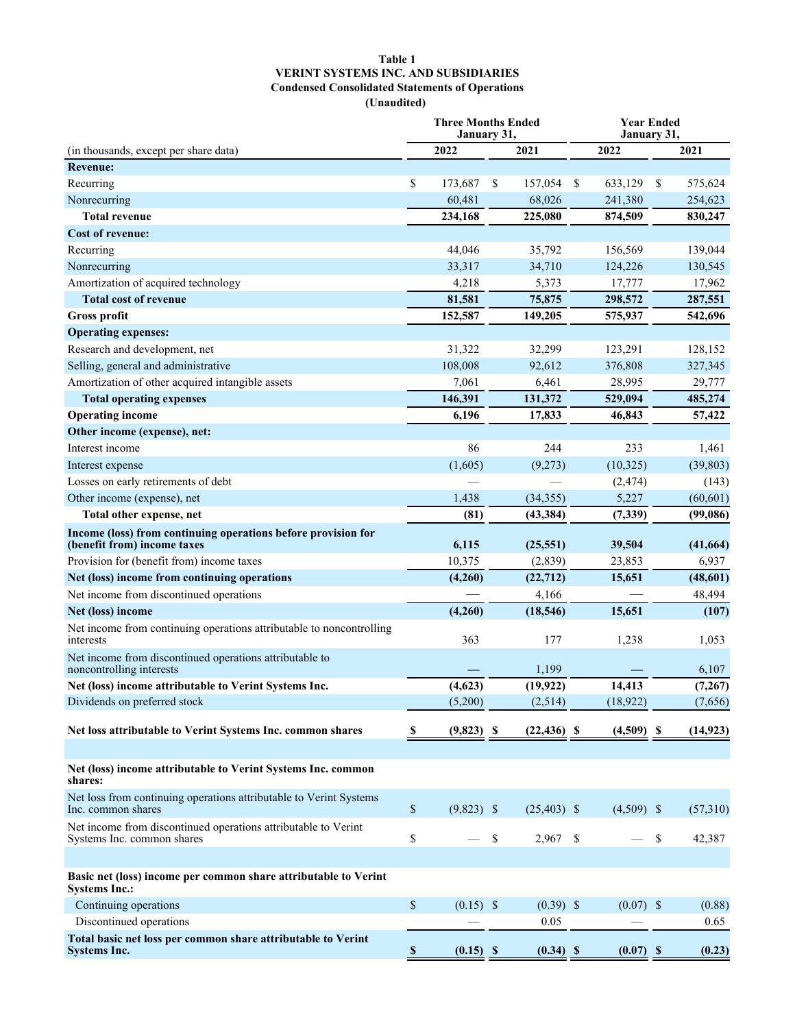#### **Table 1 VERINT SYSTEMS INC. AND SUBSIDIARIES Condensed Consolidated Statements of Operations (Unaudited)**

|                                                                                              | <b>Three Months Ended</b><br>January 31, |              |    |                |    | <b>Year Ended</b><br>January 31, |               |           |
|----------------------------------------------------------------------------------------------|------------------------------------------|--------------|----|----------------|----|----------------------------------|---------------|-----------|
| (in thousands, except per share data)                                                        |                                          | 2022         |    | 2021           |    | 2022                             |               | 2021      |
| <b>Revenue:</b>                                                                              |                                          |              |    |                |    |                                  |               |           |
| Recurring                                                                                    | \$                                       | 173,687      | \$ | 157,054        | \$ | 633,129                          | <sup>\$</sup> | 575,624   |
| Nonrecurring                                                                                 |                                          | 60,481       |    | 68,026         |    | 241,380                          |               | 254,623   |
| <b>Total revenue</b>                                                                         |                                          | 234,168      |    | 225,080        |    | 874,509                          |               | 830,247   |
| <b>Cost of revenue:</b>                                                                      |                                          |              |    |                |    |                                  |               |           |
| Recurring                                                                                    |                                          | 44,046       |    | 35,792         |    | 156,569                          |               | 139,044   |
| Nonrecurring                                                                                 |                                          | 33,317       |    | 34,710         |    | 124,226                          |               | 130,545   |
| Amortization of acquired technology                                                          |                                          | 4,218        |    | 5,373          |    | 17,777                           |               | 17,962    |
| <b>Total cost of revenue</b>                                                                 |                                          | 81,581       |    | 75,875         |    | 298,572                          |               | 287,551   |
| <b>Gross profit</b>                                                                          |                                          | 152,587      |    | 149,205        |    | 575,937                          |               | 542,696   |
| <b>Operating expenses:</b>                                                                   |                                          |              |    |                |    |                                  |               |           |
| Research and development, net                                                                |                                          | 31,322       |    | 32,299         |    | 123,291                          |               | 128,152   |
| Selling, general and administrative                                                          |                                          | 108,008      |    | 92,612         |    | 376,808                          |               | 327,345   |
| Amortization of other acquired intangible assets                                             |                                          | 7,061        |    | 6,461          |    | 28,995                           |               | 29,777    |
| <b>Total operating expenses</b>                                                              |                                          | 146,391      |    | 131,372        |    | 529,094                          |               | 485,274   |
| <b>Operating income</b>                                                                      |                                          | 6,196        |    | 17,833         |    | 46,843                           |               | 57,422    |
| Other income (expense), net:                                                                 |                                          |              |    |                |    |                                  |               |           |
| Interest income                                                                              |                                          | 86           |    | 244            |    | 233                              |               | 1,461     |
| Interest expense                                                                             |                                          | (1,605)      |    | (9,273)        |    | (10, 325)                        |               | (39, 803) |
| Losses on early retirements of debt                                                          |                                          |              |    |                |    | (2, 474)                         |               | (143)     |
| Other income (expense), net                                                                  |                                          | 1,438        |    | (34,355)       |    | 5,227                            |               | (60, 601) |
| Total other expense, net                                                                     |                                          | (81)         |    | (43, 384)      |    | (7, 339)                         |               | (99,086)  |
| Income (loss) from continuing operations before provision for                                |                                          |              |    |                |    |                                  |               |           |
| (benefit from) income taxes                                                                  |                                          | 6,115        |    | (25, 551)      |    | 39,504                           |               | (41,664)  |
| Provision for (benefit from) income taxes                                                    |                                          | 10,375       |    | (2,839)        |    | 23,853                           |               | 6,937     |
| Net (loss) income from continuing operations                                                 |                                          | (4,260)      |    | (22, 712)      |    | 15,651                           |               | (48,601)  |
| Net income from discontinued operations                                                      |                                          |              |    | 4,166          |    |                                  |               | 48,494    |
| Net (loss) income                                                                            |                                          | (4,260)      |    | (18, 546)      |    | 15,651                           |               | (107)     |
| Net income from continuing operations attributable to noncontrolling<br>interests            |                                          | 363          |    | 177            |    | 1,238                            |               | 1,053     |
| Net income from discontinued operations attributable to<br>noncontrolling interests          |                                          |              |    | 1,199          |    |                                  |               | 6,107     |
| Net (loss) income attributable to Verint Systems Inc.                                        |                                          | (4,623)      |    | (19, 922)      |    | 14,413                           |               | (7, 267)  |
| Dividends on preferred stock                                                                 |                                          | (5,200)      |    | (2,514)        |    | (18, 922)                        |               | (7,656)   |
| Net loss attributable to Verint Systems Inc. common shares                                   | -S                                       | $(9,823)$ \$ |    | $(22, 436)$ \$ |    | $(4,509)$ \$                     |               | (14, 923) |
| Net (loss) income attributable to Verint Systems Inc. common<br>shares:                      |                                          |              |    |                |    |                                  |               |           |
| Net loss from continuing operations attributable to Verint Systems<br>Inc. common shares     | \$                                       | $(9,823)$ \$ |    | $(25,403)$ \$  |    | $(4,509)$ \$                     |               | (57,310)  |
| Net income from discontinued operations attributable to Verint<br>Systems Inc. common shares | \$                                       |              | \$ | $2,967$ \$     |    |                                  | \$            | 42,387    |
|                                                                                              |                                          |              |    |                |    |                                  |               |           |
| Basic net (loss) income per common share attributable to Verint<br><b>Systems Inc.:</b>      |                                          |              |    |                |    |                                  |               |           |
| Continuing operations                                                                        | \$                                       | $(0.15)$ \$  |    | $(0.39)$ \$    |    | $(0.07)$ \$                      |               | (0.88)    |
| Discontinued operations                                                                      |                                          |              |    | 0.05           |    |                                  |               | 0.65      |
| Total basic net loss per common share attributable to Verint<br><b>Systems Inc.</b>          | \$                                       | $(0.15)$ \$  |    | $(0.34)$ \$    |    | $(0.07)$ \$                      |               | (0.23)    |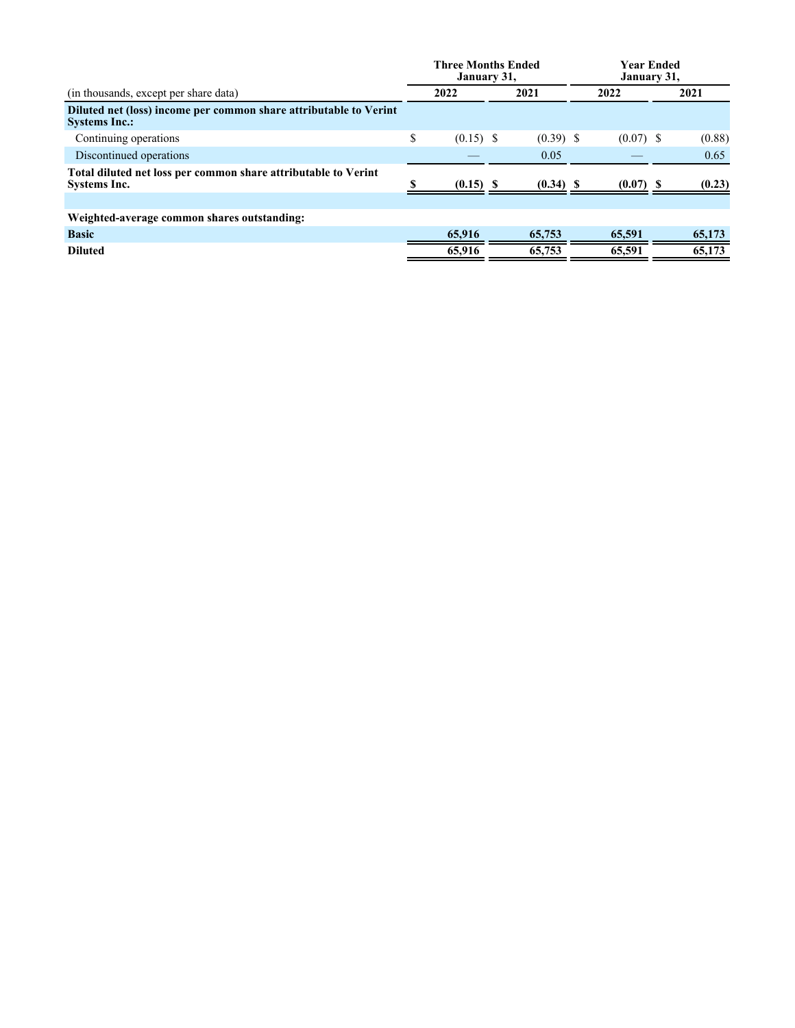| January 31, |        |  |                            |                           |                            |                                                                |  |
|-------------|--------|--|----------------------------|---------------------------|----------------------------|----------------------------------------------------------------|--|
|             | 2022   |  | 2021                       |                           | 2022                       | 2021                                                           |  |
|             |        |  |                            |                           |                            |                                                                |  |
| \$          |        |  |                            |                           |                            | (0.88)                                                         |  |
|             |        |  | 0.05                       |                           |                            | 0.65                                                           |  |
|             |        |  |                            |                           |                            | (0.23)                                                         |  |
|             |        |  |                            |                           |                            |                                                                |  |
|             |        |  |                            |                           |                            |                                                                |  |
|             | 65,916 |  | 65,753                     |                           | 65,591                     | 65,173                                                         |  |
|             | 65,916 |  | 65,753                     |                           | 65,591                     | 65,173                                                         |  |
|             |        |  | $(0.15)$ \$<br>$(0.15)$ \$ | <b>Three Months Ended</b> | $(0.39)$ \$<br>$(0.34)$ \$ | <b>Year Ended</b><br>January 31,<br>$(0.07)$ \$<br>$(0.07)$ \$ |  |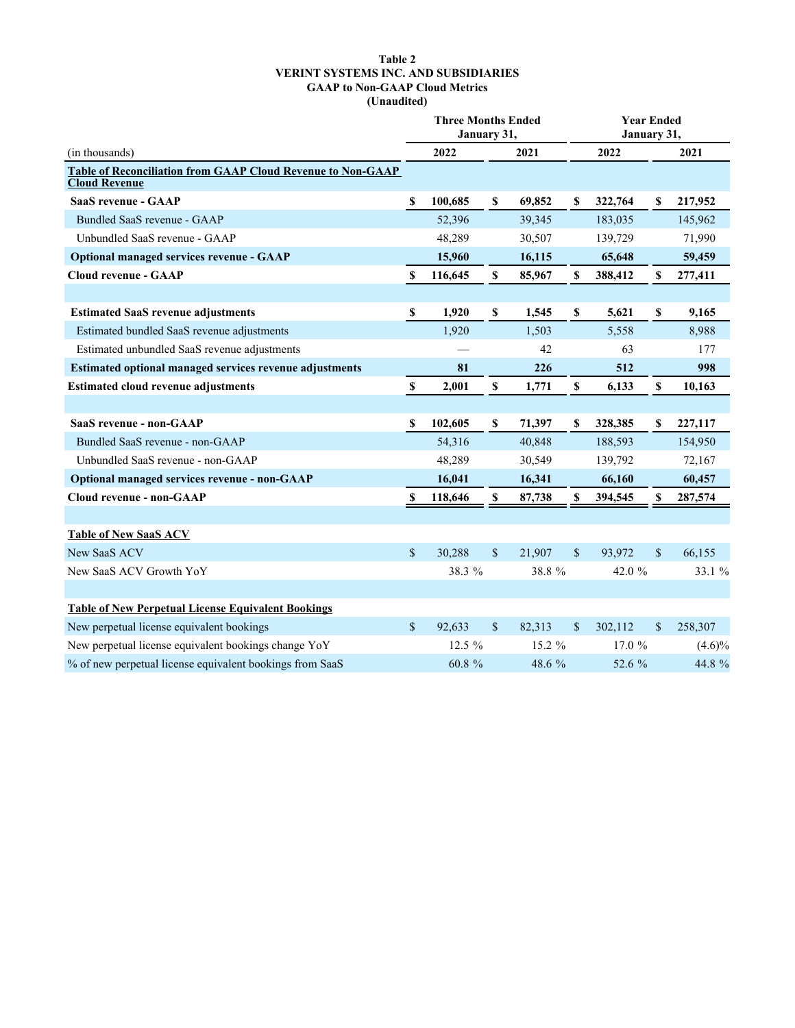#### **Table 2 VERINT SYSTEMS INC. AND SUBSIDIARIES GAAP to Non-GAAP Cloud Metrics (Unaudited)**

|                                                                                     | <b>Three Months Ended</b><br>January 31, |                      |             |        |             | <b>Year Ended</b><br>January 31, |             |           |  |  |
|-------------------------------------------------------------------------------------|------------------------------------------|----------------------|-------------|--------|-------------|----------------------------------|-------------|-----------|--|--|
| (in thousands)                                                                      |                                          | 2022<br>2022<br>2021 |             |        |             | 2021                             |             |           |  |  |
| Table of Reconciliation from GAAP Cloud Revenue to Non-GAAP<br><b>Cloud Revenue</b> |                                          |                      |             |        |             |                                  |             |           |  |  |
| SaaS revenue - GAAP                                                                 | S                                        | 100,685              | S           | 69,852 | S           | 322,764                          | S           | 217,952   |  |  |
| Bundled SaaS revenue - GAAP                                                         |                                          | 52,396               |             | 39,345 |             | 183,035                          |             | 145,962   |  |  |
| Unbundled SaaS revenue - GAAP                                                       |                                          | 48,289               |             | 30,507 |             | 139,729                          |             | 71,990    |  |  |
| <b>Optional managed services revenue - GAAP</b>                                     |                                          | 15,960               |             | 16,115 |             | 65,648                           |             | 59,459    |  |  |
| <b>Cloud revenue - GAAP</b>                                                         | S                                        | 116,645              | \$          | 85,967 | S           | 388,412                          | $\mathbf S$ | 277,411   |  |  |
|                                                                                     |                                          |                      |             |        |             |                                  |             |           |  |  |
| <b>Estimated SaaS revenue adjustments</b>                                           | $\mathbf S$                              | 1,920                | $\mathbf S$ | 1,545  | $\mathbf S$ | 5,621                            | \$          | 9,165     |  |  |
| Estimated bundled SaaS revenue adjustments                                          |                                          | 1,920                |             | 1,503  |             | 5,558                            |             | 8,988     |  |  |
| Estimated unbundled SaaS revenue adjustments                                        |                                          |                      |             | 42     |             | 63                               |             | 177       |  |  |
| Estimated optional managed services revenue adjustments                             |                                          | 81                   |             | 226    |             | 512                              |             | 998       |  |  |
| <b>Estimated cloud revenue adjustments</b>                                          | $\mathbf S$                              | 2,001                | $\mathbf S$ | 1,771  | $\mathbf S$ | 6,133                            | \$          | 10,163    |  |  |
|                                                                                     |                                          |                      |             |        |             |                                  |             |           |  |  |
| SaaS revenue - non-GAAP                                                             | S                                        | 102,605              | S           | 71,397 | S           | 328,385                          | \$          | 227,117   |  |  |
| Bundled SaaS revenue - non-GAAP                                                     |                                          | 54,316               |             | 40,848 |             | 188,593                          |             | 154,950   |  |  |
| Unbundled SaaS revenue - non-GAAP                                                   |                                          | 48,289               |             | 30,549 |             | 139,792                          |             | 72,167    |  |  |
| Optional managed services revenue - non-GAAP                                        |                                          | 16,041               |             | 16,341 |             | 66,160                           |             | 60,457    |  |  |
| Cloud revenue - non-GAAP                                                            | S                                        | 118,646              | \$          | 87,738 | \$          | 394,545                          | \$          | 287,574   |  |  |
|                                                                                     |                                          |                      |             |        |             |                                  |             |           |  |  |
| <b>Table of New SaaS ACV</b>                                                        |                                          |                      |             |        |             |                                  |             |           |  |  |
| New SaaS ACV                                                                        | $\mathbf S$                              | 30,288               | \$          | 21,907 | $\mathbf S$ | 93,972                           | $\mathbf S$ | 66,155    |  |  |
| New SaaS ACV Growth YoY                                                             |                                          | 38.3 %               |             | 38.8%  |             | 42.0 %                           |             | 33.1 %    |  |  |
|                                                                                     |                                          |                      |             |        |             |                                  |             |           |  |  |
| <b>Table of New Perpetual License Equivalent Bookings</b>                           |                                          |                      |             |        |             |                                  |             |           |  |  |
| New perpetual license equivalent bookings                                           | $\mathbf{\$}$                            | 92,633               | $\mathbf S$ | 82,313 | $\mathbf S$ | 302,112                          | $\mathbf S$ | 258,307   |  |  |
| New perpetual license equivalent bookings change YoY                                |                                          | $12.5\%$             |             | 15.2 % |             | 17.0%                            |             | $(4.6)\%$ |  |  |
| % of new perpetual license equivalent bookings from SaaS                            |                                          | 60.8 %               |             | 48.6 % |             | 52.6 %                           |             | 44.8 %    |  |  |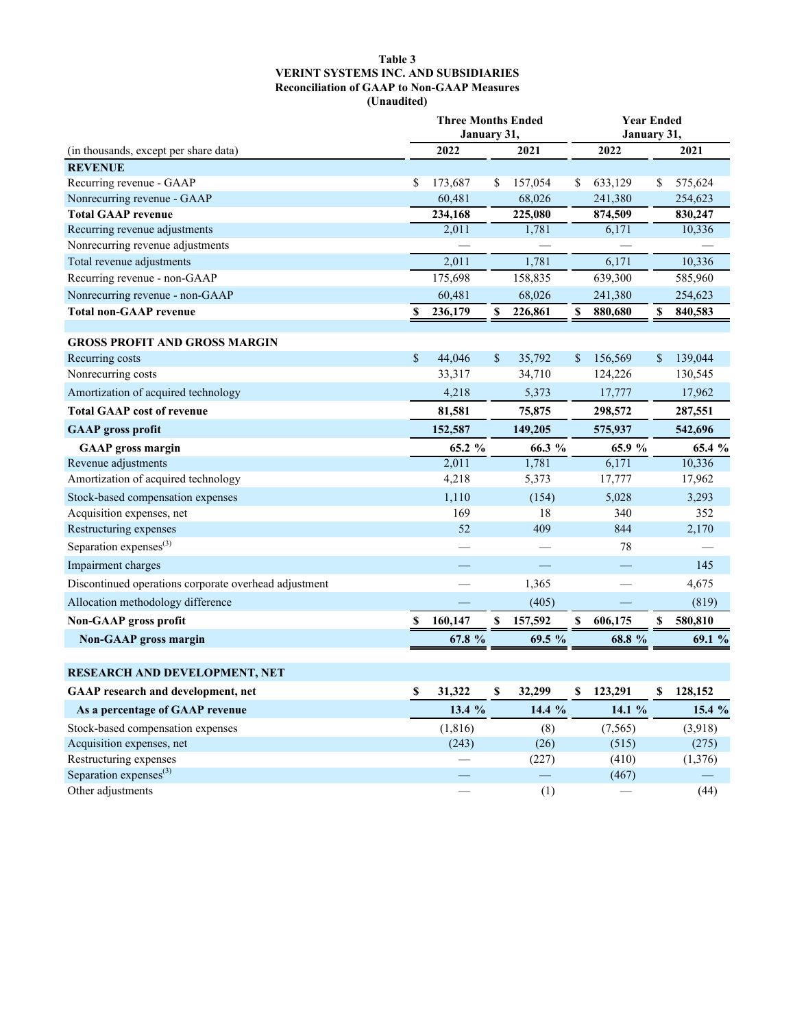#### **Table 3 VERINT SYSTEMS INC. AND SUBSIDIARIES Reconciliation of GAAP to Non-GAAP Measures (Unaudited)**

|                                                           | <b>Three Months Ended</b><br>January 31, |                 |              |                 |      | <b>Year Ended</b><br>January 31, |              |                   |  |  |
|-----------------------------------------------------------|------------------------------------------|-----------------|--------------|-----------------|------|----------------------------------|--------------|-------------------|--|--|
| (in thousands, except per share data)                     |                                          | 2022            |              | 2021            | 2022 |                                  |              | 2021              |  |  |
| <b>REVENUE</b>                                            |                                          |                 |              |                 |      |                                  |              |                   |  |  |
| Recurring revenue - GAAP                                  | \$                                       | 173,687         | \$           | 157,054         | \$   | 633,129                          | \$           | 575,624           |  |  |
| Nonrecurring revenue - GAAP                               |                                          | 60,481          |              | 68,026          |      | 241,380                          |              | 254,623           |  |  |
| <b>Total GAAP revenue</b>                                 |                                          | 234,168         |              | 225,080         |      | 874,509                          |              | 830,247           |  |  |
| Recurring revenue adjustments                             |                                          | 2,011           |              | 1,781           |      | 6,171                            |              | 10,336            |  |  |
| Nonrecurring revenue adjustments                          |                                          |                 |              |                 |      |                                  |              |                   |  |  |
| Total revenue adjustments                                 |                                          | 2,011           |              | 1,781           |      | 6,171                            |              | 10,336            |  |  |
| Recurring revenue - non-GAAP                              |                                          | 175,698         |              | 158,835         |      | 639,300                          |              | 585,960           |  |  |
| Nonrecurring revenue - non-GAAP                           |                                          | 60,481          |              | 68,026          |      | 241,380                          |              | 254,623           |  |  |
| <b>Total non-GAAP revenue</b>                             | \$                                       | 236,179         | S            | 226,861         | \$   | 880,680                          | \$           | 840,583           |  |  |
|                                                           |                                          |                 |              |                 |      |                                  |              |                   |  |  |
| GROSS PROFIT AND GROSS MARGIN                             |                                          |                 |              |                 |      |                                  |              |                   |  |  |
| Recurring costs                                           | $\mathbb{S}$                             | 44,046          | $\mathbb{S}$ | 35,792          | \$   | 156,569                          | $\mathbb{S}$ | 139,044           |  |  |
| Nonrecurring costs<br>Amortization of acquired technology |                                          | 33,317<br>4,218 |              | 34,710<br>5,373 |      | 124,226<br>17,777                |              | 130,545<br>17,962 |  |  |
| <b>Total GAAP cost of revenue</b>                         |                                          | 81,581          |              | 75,875          |      | 298,572                          |              | 287,551           |  |  |
| <b>GAAP</b> gross profit                                  |                                          | 152,587         |              | 149,205         |      | 575,937                          |              | 542,696           |  |  |
|                                                           |                                          | 65.2 %          |              | 66.3 %          |      | 65.9 %                           |              | 65.4 %            |  |  |
| <b>GAAP</b> gross margin<br>Revenue adjustments           |                                          | 2,011           |              | 1,781           |      | 6,171                            |              | 10,336            |  |  |
| Amortization of acquired technology                       |                                          | 4,218           |              | 5,373           |      | 17,777                           |              | 17,962            |  |  |
| Stock-based compensation expenses                         |                                          | 1,110           |              | (154)           |      | 5,028                            |              | 3,293             |  |  |
| Acquisition expenses, net                                 |                                          | 169             |              | 18              |      | 340                              |              | 352               |  |  |
| Restructuring expenses                                    |                                          | 52              |              | 409             |      | 844                              |              | 2,170             |  |  |
| Separation expenses <sup>(3)</sup>                        |                                          |                 |              |                 |      | 78                               |              |                   |  |  |
| Impairment charges                                        |                                          |                 |              |                 |      |                                  |              | 145               |  |  |
| Discontinued operations corporate overhead adjustment     |                                          |                 |              | 1,365           |      |                                  |              | 4,675             |  |  |
| Allocation methodology difference                         |                                          |                 |              | (405)           |      |                                  |              | (819)             |  |  |
| Non-GAAP gross profit                                     |                                          | 160,147         | S            | 157,592         | \$   | 606,175                          | \$           | 580,810           |  |  |
| <b>Non-GAAP</b> gross margin                              |                                          | 67.8 %          |              | 69.5 %          |      | 68.8 %                           |              | 69.1%             |  |  |
|                                                           |                                          |                 |              |                 |      |                                  |              |                   |  |  |
| RESEARCH AND DEVELOPMENT, NET                             |                                          |                 |              |                 |      |                                  |              |                   |  |  |
| GAAP research and development, net                        | \$                                       | 31.322          | \$           | 32,299          | \$   | 123,291                          | \$           | 128,152           |  |  |
| As a percentage of GAAP revenue                           |                                          | 13.4 %          |              | 14.4 %          |      | 14.1 %                           |              | 15.4 %            |  |  |
| Stock-based compensation expenses                         |                                          | (1, 816)        |              | (8)             |      | (7, 565)                         |              | (3,918)           |  |  |
| Acquisition expenses, net                                 |                                          | (243)           |              | (26)            |      | (515)                            |              | (275)             |  |  |
| Restructuring expenses                                    |                                          |                 |              | (227)           |      | (410)                            |              | (1,376)           |  |  |
| Separation expenses <sup>(3)</sup>                        |                                          |                 |              |                 |      | (467)                            |              |                   |  |  |
| Other adjustments                                         |                                          |                 |              | (1)             |      |                                  |              | (44)              |  |  |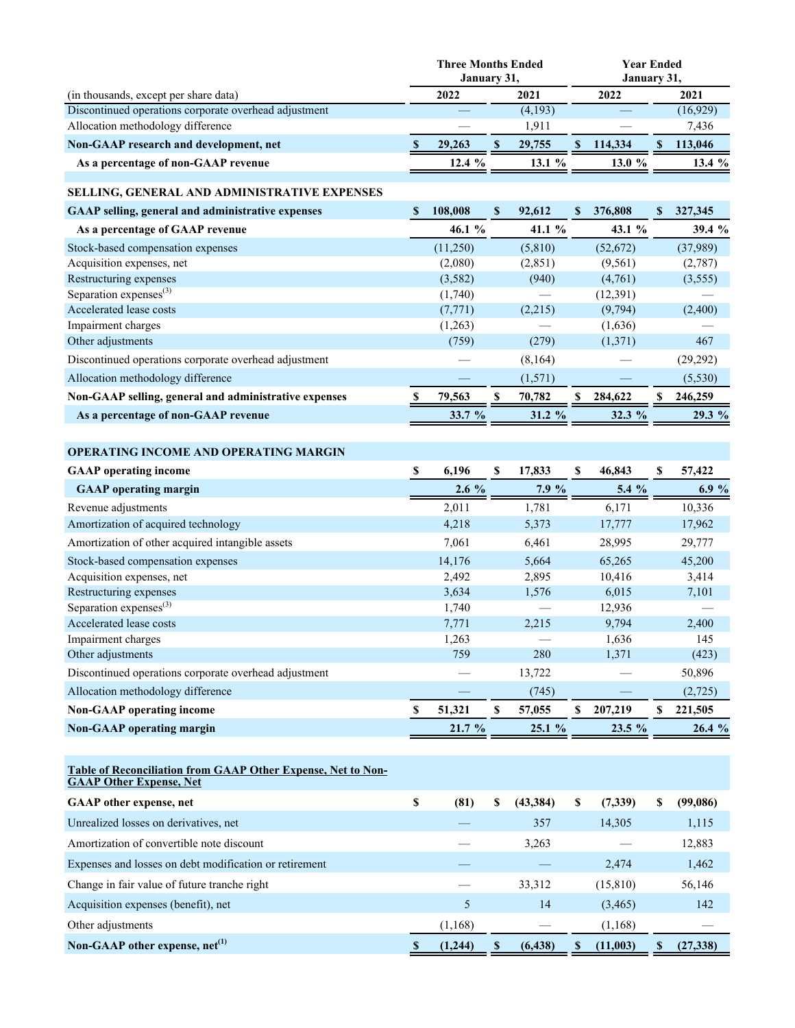|                                                                                                |                           | <b>Three Months Ended</b><br>January 31, |                    |           | <b>Year Ended</b><br>January 31, |           |    |           |  |
|------------------------------------------------------------------------------------------------|---------------------------|------------------------------------------|--------------------|-----------|----------------------------------|-----------|----|-----------|--|
| (in thousands, except per share data)                                                          |                           | 2022                                     |                    | 2021      |                                  | 2022      |    | 2021      |  |
| Discontinued operations corporate overhead adjustment                                          |                           |                                          |                    | (4,193)   |                                  |           |    | (16,929)  |  |
| Allocation methodology difference                                                              |                           |                                          |                    | 1,911     |                                  |           |    | 7,436     |  |
| Non-GAAP research and development, net                                                         | $\boldsymbol{\mathsf{s}}$ | 29,263                                   |                    | 29,755    | \$                               | 114,334   | \$ | 113,046   |  |
| As a percentage of non-GAAP revenue                                                            |                           | 12.4 %                                   |                    | 13.1 %    |                                  | 13.0 %    |    | 13.4 %    |  |
| SELLING, GENERAL AND ADMINISTRATIVE EXPENSES                                                   |                           |                                          |                    |           |                                  |           |    |           |  |
| <b>GAAP</b> selling, general and administrative expenses                                       | $\mathbf{s}$              | 108,008                                  | $\mathbf{s}$       | 92,612    | S                                | 376,808   | S  | 327,345   |  |
| As a percentage of GAAP revenue                                                                |                           | 46.1 %                                   |                    | 41.1 %    |                                  | 43.1 %    |    | 39.4 %    |  |
| Stock-based compensation expenses                                                              |                           | (11,250)                                 |                    | (5,810)   |                                  | (52, 672) |    | (37,989)  |  |
| Acquisition expenses, net                                                                      |                           | (2,080)                                  |                    | (2, 851)  |                                  | (9, 561)  |    | (2,787)   |  |
| Restructuring expenses                                                                         |                           | (3, 582)                                 |                    | (940)     |                                  | (4,761)   |    | (3,555)   |  |
| Separation expenses <sup>(3)</sup>                                                             |                           | (1,740)                                  |                    |           |                                  | (12, 391) |    |           |  |
| Accelerated lease costs                                                                        |                           | (7, 771)                                 |                    | (2,215)   |                                  | (9,794)   |    | (2,400)   |  |
| Impairment charges                                                                             |                           | (1,263)                                  |                    |           |                                  | (1,636)   |    |           |  |
| Other adjustments                                                                              |                           | (759)                                    |                    | (279)     |                                  | (1,371)   |    | 467       |  |
| Discontinued operations corporate overhead adjustment                                          |                           |                                          |                    | (8,164)   |                                  |           |    | (29, 292) |  |
| Allocation methodology difference                                                              |                           |                                          |                    | (1,571)   |                                  |           |    | (5,530)   |  |
| Non-GAAP selling, general and administrative expenses                                          | \$                        | 79,563                                   | \$                 | 70,782    | S                                | 284,622   | S  | 246,259   |  |
| As a percentage of non-GAAP revenue                                                            |                           | 33.7 %                                   |                    | 31.2 %    |                                  | 32.3 %    |    | 29.3 %    |  |
|                                                                                                |                           |                                          |                    |           |                                  |           |    |           |  |
| OPERATING INCOME AND OPERATING MARGIN                                                          |                           |                                          |                    |           |                                  |           |    |           |  |
| <b>GAAP</b> operating income                                                                   | \$                        | 6,196                                    | \$                 | 17,833    | \$                               | 46,843    | \$ | 57,422    |  |
| <b>GAAP</b> operating margin                                                                   |                           | $2.6\%$                                  |                    | 7.9 %     |                                  | 5.4 %     |    | 6.9%      |  |
| Revenue adjustments                                                                            |                           | 2,011                                    |                    | 1,781     |                                  | 6,171     |    | 10,336    |  |
| Amortization of acquired technology                                                            |                           | 4,218                                    |                    | 5,373     |                                  | 17,777    |    | 17,962    |  |
| Amortization of other acquired intangible assets                                               |                           | 7,061                                    |                    | 6,461     |                                  | 28,995    |    | 29,777    |  |
| Stock-based compensation expenses                                                              |                           | 14,176                                   |                    | 5,664     |                                  | 65,265    |    | 45,200    |  |
| Acquisition expenses, net                                                                      |                           | 2,492                                    |                    | 2,895     |                                  | 10,416    |    | 3,414     |  |
| Restructuring expenses                                                                         |                           | 3,634                                    |                    | 1,576     |                                  | 6,015     |    | 7,101     |  |
| Separation expenses <sup>(3)</sup>                                                             |                           | 1,740                                    |                    |           |                                  | 12,936    |    |           |  |
| Accelerated lease costs                                                                        |                           | 7,771                                    |                    | 2,215     |                                  | 9,794     |    | 2,400     |  |
| Impairment charges                                                                             |                           | 1,263                                    |                    |           |                                  | 1,636     |    | 145       |  |
| Other adjustments                                                                              |                           | 759                                      |                    | 280       |                                  | 1,371     |    | (423)     |  |
| Discontinued operations corporate overhead adjustment                                          |                           |                                          |                    | 13,722    |                                  |           |    | 50,896    |  |
| Allocation methodology difference                                                              |                           |                                          |                    | (745)     |                                  |           |    | (2,725)   |  |
| <b>Non-GAAP</b> operating income                                                               | \$                        | 51,321                                   | $\mathbb S$        | 57,055    | \$                               | 207,219   | \$ | 221,505   |  |
| <b>Non-GAAP</b> operating margin                                                               |                           | 21.7 %                                   |                    | 25.1 %    |                                  | 23.5 %    |    | 26.4%     |  |
| Table of Reconciliation from GAAP Other Expense, Net to Non-<br><b>GAAP Other Expense, Net</b> |                           |                                          |                    |           |                                  |           |    |           |  |
| <b>GAAP</b> other expense, net                                                                 | \$                        | (81)                                     | \$                 | (43, 384) | \$                               | (7, 339)  | \$ | (99,086)  |  |
| Unrealized losses on derivatives, net                                                          |                           |                                          |                    | 357       |                                  | 14,305    |    | 1,115     |  |
| Amortization of convertible note discount                                                      |                           |                                          |                    | 3,263     |                                  |           |    | 12,883    |  |
| Expenses and losses on debt modification or retirement                                         |                           |                                          |                    |           |                                  | 2,474     |    | 1,462     |  |
| Change in fair value of future tranche right                                                   |                           |                                          |                    | 33,312    |                                  | (15, 810) |    | 56,146    |  |
| Acquisition expenses (benefit), net                                                            |                           | 5                                        |                    | 14        |                                  | (3,465)   |    | 142       |  |
| Other adjustments                                                                              |                           | (1, 168)                                 |                    |           |                                  | (1, 168)  |    |           |  |
| Non-GAAP other expense, net <sup>(1)</sup>                                                     | \$                        | (1,244)                                  | $\pmb{\mathbb{S}}$ | (6, 438)  | \$                               | (11,003)  | \$ | (27, 338) |  |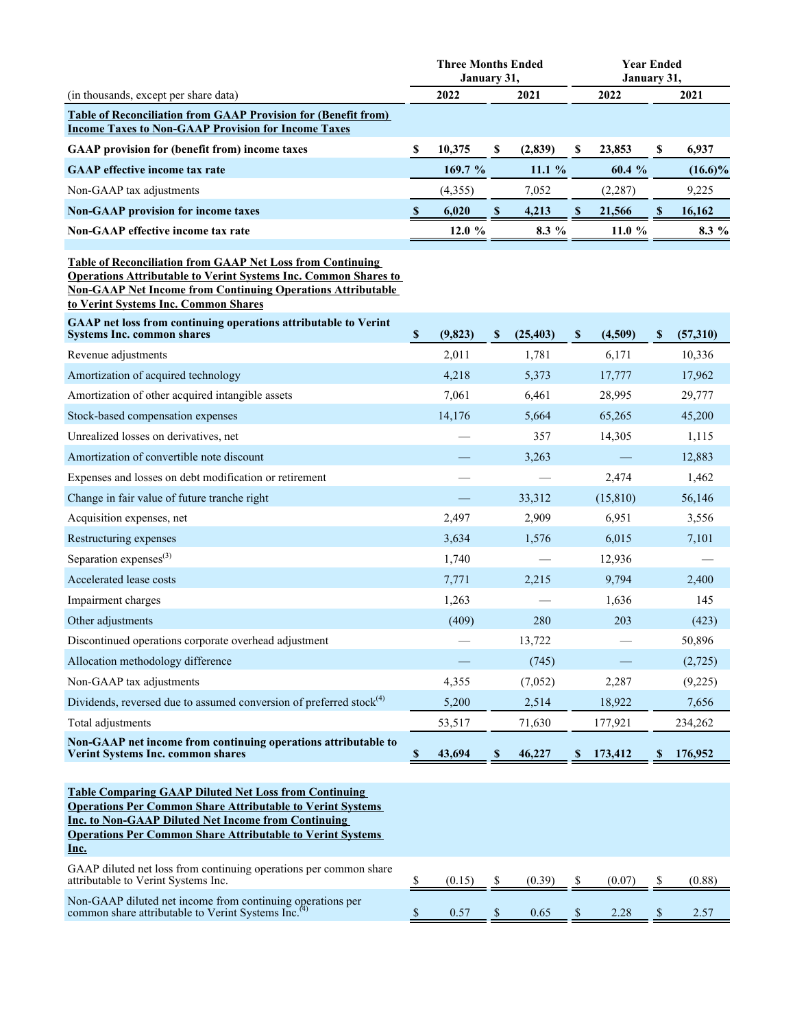|                                                                                                                                                                                                                                                                              | <b>Three Months Ended</b><br>January 31, |           |               |           |              | <b>Year Ended</b><br>January 31, |               |            |
|------------------------------------------------------------------------------------------------------------------------------------------------------------------------------------------------------------------------------------------------------------------------------|------------------------------------------|-----------|---------------|-----------|--------------|----------------------------------|---------------|------------|
| (in thousands, except per share data)                                                                                                                                                                                                                                        |                                          | 2022      |               | 2021      | 2022         |                                  |               | 2021       |
| <b>Table of Reconciliation from GAAP Provision for (Benefit from)</b>                                                                                                                                                                                                        |                                          |           |               |           |              |                                  |               |            |
| <b>Income Taxes to Non-GAAP Provision for Income Taxes</b>                                                                                                                                                                                                                   |                                          |           |               |           |              |                                  |               |            |
| <b>GAAP</b> provision for (benefit from) income taxes                                                                                                                                                                                                                        | S                                        | 10,375    | S             | (2, 839)  | \$           | 23,853                           | \$            | 6,937      |
| <b>GAAP</b> effective income tax rate                                                                                                                                                                                                                                        |                                          | 169.7 %   |               | 11.1 %    |              | 60.4 %                           |               | $(16.6)\%$ |
| Non-GAAP tax adjustments                                                                                                                                                                                                                                                     |                                          | (4, 355)  |               | 7,052     |              | (2, 287)                         |               | 9,225      |
| <b>Non-GAAP provision for income taxes</b>                                                                                                                                                                                                                                   | -S                                       | 6,020     | $\mathbf{s}$  | 4,213     | \$           | 21,566                           | <sup>\$</sup> | 16,162     |
| <b>Non-GAAP</b> effective income tax rate                                                                                                                                                                                                                                    |                                          | $12.0 \%$ |               | $8.3\%$   |              | 11.0%                            |               | 8.3 %      |
| <b>Table of Reconciliation from GAAP Net Loss from Continuing</b><br><b>Operations Attributable to Verint Systems Inc. Common Shares to</b><br><b>Non-GAAP Net Income from Continuing Operations Attributable</b><br>to Verint Systems Inc. Common Shares                    |                                          |           |               |           |              |                                  |               |            |
| GAAP net loss from continuing operations attributable to Verint<br><b>Systems Inc. common shares</b>                                                                                                                                                                         | $\mathbf{s}$                             | (9,823)   | $\mathbf{s}$  | (25, 403) | $\mathbf{s}$ | (4,509)                          | $\mathbf{s}$  | (57,310)   |
| Revenue adjustments                                                                                                                                                                                                                                                          |                                          | 2,011     |               | 1,781     |              | 6,171                            |               | 10,336     |
| Amortization of acquired technology                                                                                                                                                                                                                                          |                                          | 4,218     |               | 5,373     |              | 17,777                           |               | 17,962     |
| Amortization of other acquired intangible assets                                                                                                                                                                                                                             |                                          | 7,061     |               | 6,461     |              | 28,995                           |               | 29,777     |
| Stock-based compensation expenses                                                                                                                                                                                                                                            |                                          | 14,176    |               | 5,664     |              | 65,265                           |               | 45,200     |
| Unrealized losses on derivatives, net                                                                                                                                                                                                                                        |                                          |           |               | 357       |              | 14,305                           |               | 1,115      |
| Amortization of convertible note discount                                                                                                                                                                                                                                    |                                          |           |               | 3,263     |              |                                  |               | 12,883     |
| Expenses and losses on debt modification or retirement                                                                                                                                                                                                                       |                                          |           |               |           |              | 2,474                            |               | 1,462      |
| Change in fair value of future tranche right                                                                                                                                                                                                                                 |                                          |           |               | 33,312    |              | (15, 810)                        |               | 56,146     |
| Acquisition expenses, net                                                                                                                                                                                                                                                    |                                          | 2,497     |               | 2,909     |              | 6,951                            |               | 3,556      |
| Restructuring expenses                                                                                                                                                                                                                                                       |                                          | 3,634     |               | 1,576     |              | 6,015                            |               | 7,101      |
| Separation expenses <sup>(3)</sup>                                                                                                                                                                                                                                           |                                          | 1,740     |               |           |              | 12,936                           |               |            |
| Accelerated lease costs                                                                                                                                                                                                                                                      |                                          | 7,771     |               | 2,215     |              | 9,794                            |               | 2,400      |
| Impairment charges                                                                                                                                                                                                                                                           |                                          | 1,263     |               |           |              | 1,636                            |               | 145        |
| Other adjustments                                                                                                                                                                                                                                                            |                                          | (409)     |               | 280       |              | 203                              |               | (423)      |
| Discontinued operations corporate overhead adjustment                                                                                                                                                                                                                        |                                          |           |               | 13,722    |              |                                  |               | 50,896     |
| Allocation methodology difference                                                                                                                                                                                                                                            |                                          |           |               | (745)     |              |                                  |               | (2,725)    |
| Non-GAAP tax adjustments                                                                                                                                                                                                                                                     |                                          | 4,355     |               | (7,052)   |              | 2,287                            |               | (9,225)    |
| Dividends, reversed due to assumed conversion of preferred stock $(4)$                                                                                                                                                                                                       |                                          | 5,200     |               | 2,514     |              | 18,922                           |               | 7,656      |
| Total adjustments                                                                                                                                                                                                                                                            |                                          | 53,517    |               | 71,630    |              | 177,921                          |               | 234,262    |
| Non-GAAP net income from continuing operations attributable to<br><b>Verint Systems Inc. common shares</b>                                                                                                                                                                   | \$                                       | 43,694    | \$            | 46,227    | \$           | 173,412                          | \$            | 176,952    |
| <b>Table Comparing GAAP Diluted Net Loss from Continuing</b><br><b>Operations Per Common Share Attributable to Verint Systems</b><br><b>Inc. to Non-GAAP Diluted Net Income from Continuing</b><br><b>Operations Per Common Share Attributable to Verint Systems</b><br>Inc. |                                          |           |               |           |              |                                  |               |            |
| GAAP diluted net loss from continuing operations per common share<br>attributable to Verint Systems Inc.                                                                                                                                                                     | \$                                       | (0.15)    | S             | (0.39)    | \$           | (0.07)                           | \$            | (0.88)     |
| Non-GAAP diluted net income from continuing operations per<br>common share attributable to Verint Systems Inc. <sup>(4)</sup>                                                                                                                                                | \$                                       | 0.57      | <sup>\$</sup> | 0.65      | \$           | 2.28                             | <sup>\$</sup> | 2.57       |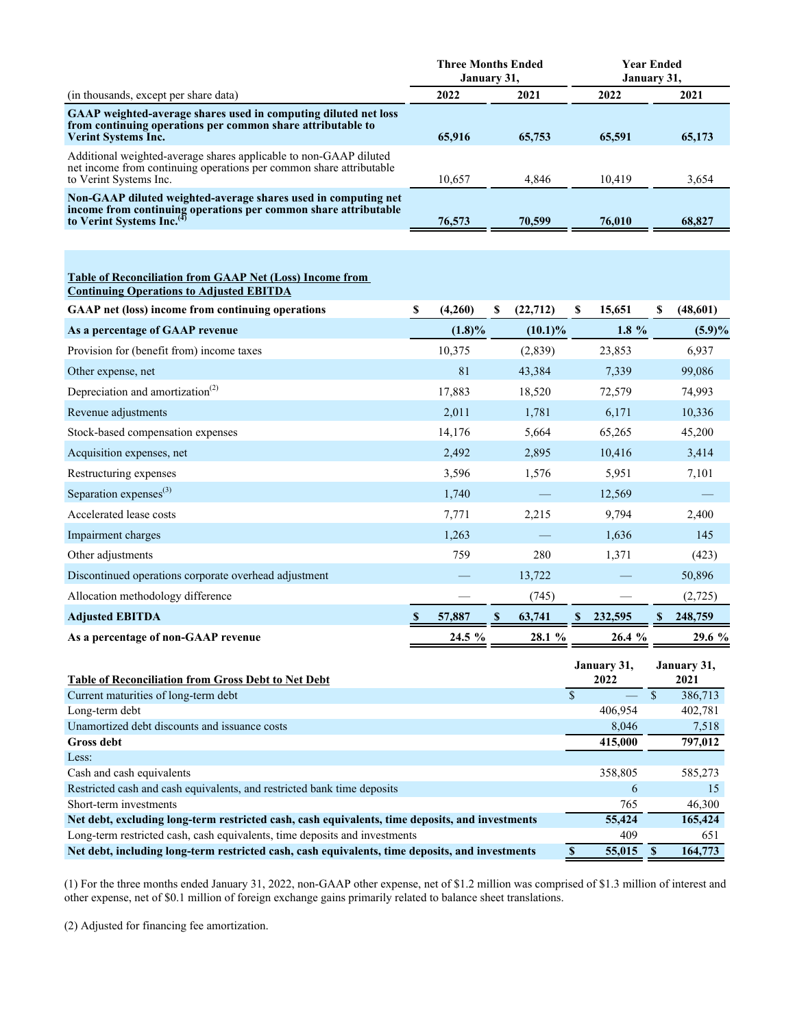|                                                                                                                                                                            | <b>Three Months Ended</b><br>January 31, |                   |    |            |              | <b>Year Ended</b><br>January 31, |    |                     |
|----------------------------------------------------------------------------------------------------------------------------------------------------------------------------|------------------------------------------|-------------------|----|------------|--------------|----------------------------------|----|---------------------|
| (in thousands, except per share data)                                                                                                                                      |                                          | 2022              |    | 2021       |              | 2022                             |    | 2021                |
| GAAP weighted-average shares used in computing diluted net loss<br>from continuing operations per common share attributable to<br><b>Verint Systems Inc.</b>               |                                          | 65,916            |    | 65,753     |              | 65,591                           |    | 65,173              |
| Additional weighted-average shares applicable to non-GAAP diluted<br>net income from continuing operations per common share attributable<br>to Verint Systems Inc.         |                                          | 10,657            |    | 4,846      |              | 10,419                           |    | 3,654               |
| Non-GAAP diluted weighted-average shares used in computing net<br>income from continuing operations per common share attributable<br>to Verint Systems Inc. <sup>(4)</sup> |                                          | 76,573            |    | 70,599     |              | 76,010                           |    | 68,827              |
|                                                                                                                                                                            |                                          |                   |    |            |              |                                  |    |                     |
| <b>Table of Reconciliation from GAAP Net (Loss) Income from</b><br><b>Continuing Operations to Adjusted EBITDA</b>                                                         |                                          |                   |    |            |              |                                  |    |                     |
| <b>GAAP</b> net (loss) income from continuing operations                                                                                                                   | S                                        | (4,260)           | \$ | (22,712)   | \$           | 15,651                           | S  | (48,601)            |
| As a percentage of GAAP revenue                                                                                                                                            |                                          | $(1.8)\%$         |    | $(10.1)\%$ |              | $1.8\%$                          |    | $(5.9)\%$           |
| Provision for (benefit from) income taxes                                                                                                                                  |                                          | 10,375            |    | (2,839)    |              | 23,853                           |    | 6,937               |
| Other expense, net                                                                                                                                                         |                                          | 81                |    | 43,384     |              | 7,339                            |    | 99,086              |
| Depreciation and amortization <sup>(2)</sup>                                                                                                                               |                                          | 17,883            |    | 18,520     |              | 72,579                           |    | 74,993              |
| Revenue adjustments                                                                                                                                                        |                                          | 2,011             |    | 1,781      |              | 6,171                            |    | 10,336              |
| Stock-based compensation expenses                                                                                                                                          |                                          | 14,176            |    | 5,664      |              | 65,265                           |    | 45,200              |
| Acquisition expenses, net                                                                                                                                                  |                                          | 2,492             |    | 2,895      |              | 10,416                           |    | 3,414               |
| Restructuring expenses                                                                                                                                                     |                                          | 3,596             |    | 1,576      |              | 5,951                            |    | 7,101               |
| Separation expenses <sup>(3)</sup>                                                                                                                                         |                                          | 1,740             |    |            |              | 12,569                           |    |                     |
| Accelerated lease costs                                                                                                                                                    |                                          | 7,771             |    | 2,215      |              | 9,794                            |    | 2,400               |
| Impairment charges                                                                                                                                                         |                                          | 1,263             |    |            |              | 1,636                            |    | 145                 |
| Other adjustments                                                                                                                                                          |                                          | 759               |    | 280        |              | 1,371                            |    | (423)               |
| Discontinued operations corporate overhead adjustment                                                                                                                      |                                          |                   |    | 13,722     |              |                                  |    | 50,896              |
| Allocation methodology difference                                                                                                                                          |                                          |                   |    | (745)      |              |                                  |    | (2,725)             |
| <b>Adjusted EBITDA</b>                                                                                                                                                     | <sup>\$</sup>                            | 57,887            | \$ | 63,741     | \$           | 232,595                          | \$ | 248,759             |
| As a percentage of non-GAAP revenue                                                                                                                                        |                                          | $24.5\frac{9}{6}$ |    | 28.1 %     |              | 26.4 %                           |    | 29.6 %              |
|                                                                                                                                                                            |                                          |                   |    |            |              |                                  |    |                     |
| <b>Table of Reconciliation from Gross Debt to Net Debt</b>                                                                                                                 |                                          |                   |    |            |              | January 31,<br>2022              |    | January 31,<br>2021 |
| Current maturities of long-term debt                                                                                                                                       |                                          |                   |    |            | $\mathbf{s}$ | $=$ $\overline{s}$               |    | 386,713             |
| Long-term debt                                                                                                                                                             |                                          |                   |    |            |              | 406,954                          |    | 402,781             |
| Unamortized debt discounts and issuance costs                                                                                                                              |                                          |                   |    |            |              | 8,046                            |    | 7,518               |
| <b>Gross debt</b>                                                                                                                                                          |                                          |                   |    |            |              | 415,000                          |    | 797,012             |
| Less:                                                                                                                                                                      |                                          |                   |    |            |              |                                  |    |                     |
| Cash and cash equivalents                                                                                                                                                  |                                          |                   |    |            |              | 358,805                          |    | 585,273             |
| Restricted cash and cash equivalents, and restricted bank time deposits                                                                                                    |                                          |                   |    |            |              | 6                                |    | 15                  |

Short-term investments 765 46,300 Net debt, excluding long-term restricted cash, cash equivalents, time deposits, and investments 55,424 165,424 Long-term restricted cash, cash equivalents, time deposits and investments 409 651 Net debt, including long-term restricted cash, cash equivalents, time deposits, and investments **\$ 55,015** \$ 164,773

(1) For the three months ended January 31, 2022, non-GAAP other expense, net of \$1.2 million was comprised of \$1.3 million of interest and other expense, net of \$0.1 million of foreign exchange gains primarily related to balance sheet translations.

(2) Adjusted for financing fee amortization.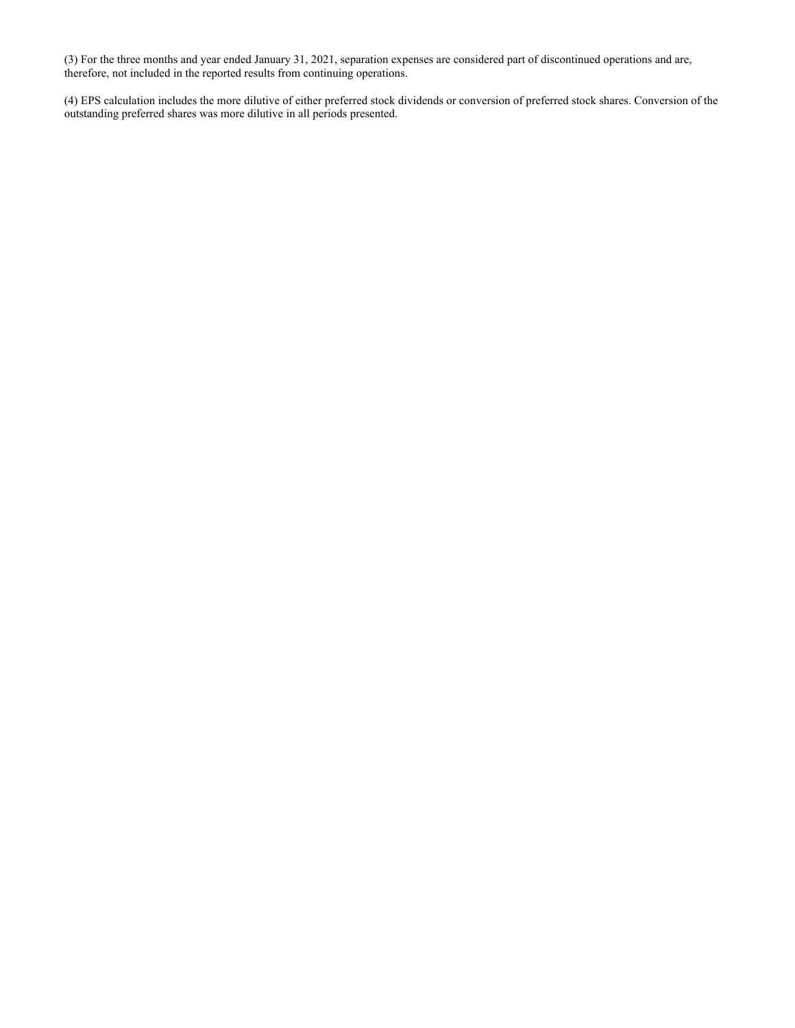(3) For the three months and year ended January 31, 2021, separation expenses are considered part of discontinued operations and are, therefore, not included in the reported results from continuing operations.

(4) EPS calculation includes the more dilutive of either preferred stock dividends or conversion of preferred stock shares. Conversion of the outstanding preferred shares was more dilutive in all periods presented.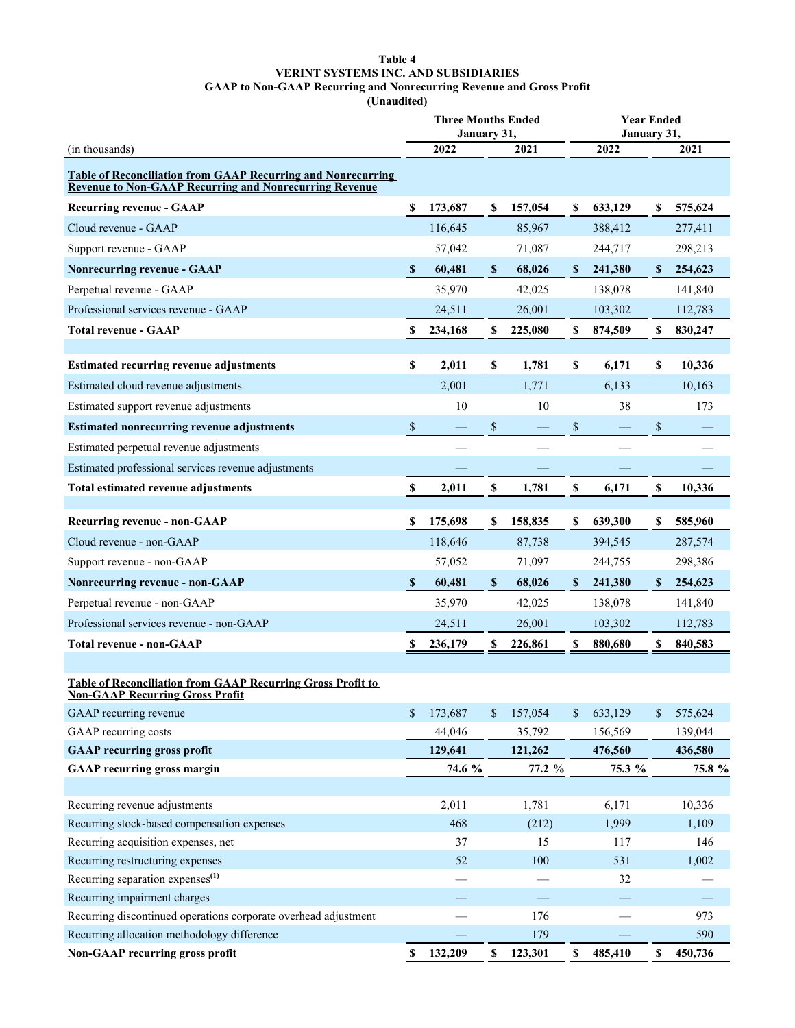## **Table 4 VERINT SYSTEMS INC. AND SUBSIDIARIES GAAP to Non-GAAP Recurring and Nonrecurring Revenue and Gross Profit**

**(Unaudited)**

|                                                                                                                                      | <b>Three Months Ended</b><br>January 31, |              |              |                |      | <b>Year Ended</b><br>January 31, |                    |                 |  |
|--------------------------------------------------------------------------------------------------------------------------------------|------------------------------------------|--------------|--------------|----------------|------|----------------------------------|--------------------|-----------------|--|
| (in thousands)                                                                                                                       |                                          | 2022         |              | 2021           | 2022 |                                  |                    | 2021            |  |
| <b>Table of Reconciliation from GAAP Recurring and Nonrecurring</b><br><b>Revenue to Non-GAAP Recurring and Nonrecurring Revenue</b> |                                          |              |              |                |      |                                  |                    |                 |  |
| <b>Recurring revenue - GAAP</b>                                                                                                      | S                                        | 173,687      | \$           | 157,054        | \$   | 633,129                          | S                  | 575,624         |  |
| Cloud revenue - GAAP                                                                                                                 |                                          | 116,645      |              | 85,967         |      | 388,412                          |                    | 277,411         |  |
| Support revenue - GAAP                                                                                                               |                                          | 57,042       |              | 71,087         |      | 244,717                          |                    | 298,213         |  |
| Nonrecurring revenue - GAAP                                                                                                          | $\mathbf{s}$                             | 60,481       | <sup>S</sup> | 68,026         | \$   | 241,380                          | <sup>\$</sup>      | 254,623         |  |
| Perpetual revenue - GAAP                                                                                                             |                                          | 35,970       |              | 42,025         |      | 138,078                          |                    | 141,840         |  |
| Professional services revenue - GAAP                                                                                                 |                                          | 24,511       |              | 26,001         |      | 103,302                          |                    | 112,783         |  |
| <b>Total revenue - GAAP</b>                                                                                                          | S                                        | 234,168      | \$           | 225,080        | \$   | 874,509                          | \$                 | 830,247         |  |
|                                                                                                                                      |                                          |              |              |                |      |                                  |                    |                 |  |
| <b>Estimated recurring revenue adjustments</b>                                                                                       | \$                                       | 2,011        | \$           | 1,781          | S    | 6,171                            | S                  | 10,336          |  |
| Estimated cloud revenue adjustments                                                                                                  |                                          | 2,001        |              | 1,771          |      | 6,133                            |                    | 10,163          |  |
| Estimated support revenue adjustments                                                                                                |                                          | 10           |              | 10             |      | 38                               |                    | 173             |  |
| <b>Estimated nonrecurring revenue adjustments</b>                                                                                    | $\mathbb{S}$                             |              | $\$$         |                | $\$$ |                                  | \$                 |                 |  |
| Estimated perpetual revenue adjustments                                                                                              |                                          |              |              |                |      |                                  |                    |                 |  |
| Estimated professional services revenue adjustments                                                                                  |                                          |              |              |                |      |                                  |                    |                 |  |
| Total estimated revenue adjustments                                                                                                  | \$                                       | 2,011        | \$           | 1,781          | \$   | 6,171                            | $\pmb{\mathbb{S}}$ | 10,336          |  |
|                                                                                                                                      |                                          |              |              |                |      |                                  |                    |                 |  |
| <b>Recurring revenue - non-GAAP</b>                                                                                                  | S                                        | 175,698      | \$           | 158,835        | S    | 639,300                          | S                  | 585,960         |  |
| Cloud revenue - non-GAAP                                                                                                             |                                          | 118,646      |              | 87,738         |      | 394,545                          |                    | 287,574         |  |
| Support revenue - non-GAAP                                                                                                           |                                          | 57,052       |              | 71,097         |      | 244,755                          |                    | 298,386         |  |
| Nonrecurring revenue - non-GAAP                                                                                                      | S                                        | 60,481       | $\mathbf{s}$ | 68,026         | \$   | 241,380                          | <sup>\$</sup>      | 254,623         |  |
| Perpetual revenue - non-GAAP                                                                                                         |                                          | 35,970       |              | 42,025         |      | 138,078                          |                    | 141,840         |  |
| Professional services revenue - non-GAAP                                                                                             |                                          | 24,511       |              | 26,001         |      | 103,302                          |                    | 112,783         |  |
| <b>Total revenue - non-GAAP</b>                                                                                                      | S                                        | 236,179      | \$           | 226,861        | S    | 880,680                          | S                  | 840,583         |  |
|                                                                                                                                      |                                          |              |              |                |      |                                  |                    |                 |  |
| <b>Table of Reconciliation from GAAP Recurring Gross Profit to</b><br><u> Non-GAAP Recurring Gross Profit</u>                        |                                          |              |              |                |      |                                  |                    |                 |  |
| GAAP recurring revenue                                                                                                               | $\mathbb{S}$                             | 173,687      | \$           | 157,054        | \$   | 633,129                          | \$                 | 575,624         |  |
| GAAP recurring costs                                                                                                                 |                                          | 44,046       |              | 35,792         |      | 156,569                          |                    | 139,044         |  |
| <b>GAAP recurring gross profit</b>                                                                                                   |                                          | 129,641      |              | 121,262        |      | 476,560                          |                    | 436,580         |  |
| <b>GAAP</b> recurring gross margin                                                                                                   |                                          | 74.6 %       |              | 77.2 %         |      | 75.3 %                           |                    | 75.8 %          |  |
|                                                                                                                                      |                                          |              |              |                |      |                                  |                    |                 |  |
| Recurring revenue adjustments<br>Recurring stock-based compensation expenses                                                         |                                          | 2,011<br>468 |              | 1,781<br>(212) |      | 6,171                            |                    | 10,336<br>1,109 |  |
| Recurring acquisition expenses, net                                                                                                  |                                          | 37           |              | 15             |      | 1,999<br>117                     |                    | 146             |  |
| Recurring restructuring expenses                                                                                                     |                                          | 52           |              | 100            |      | 531                              |                    | 1,002           |  |
| Recurring separation expenses <sup>(1)</sup>                                                                                         |                                          |              |              |                |      | 32                               |                    |                 |  |
| Recurring impairment charges                                                                                                         |                                          |              |              |                |      |                                  |                    |                 |  |
| Recurring discontinued operations corporate overhead adjustment                                                                      |                                          |              |              | 176            |      |                                  |                    | 973             |  |
| Recurring allocation methodology difference                                                                                          |                                          |              |              | 179            |      |                                  |                    | 590             |  |
| Non-GAAP recurring gross profit                                                                                                      | \$                                       | 132,209      | \$           | 123,301        | \$   | 485,410                          | \$                 | 450,736         |  |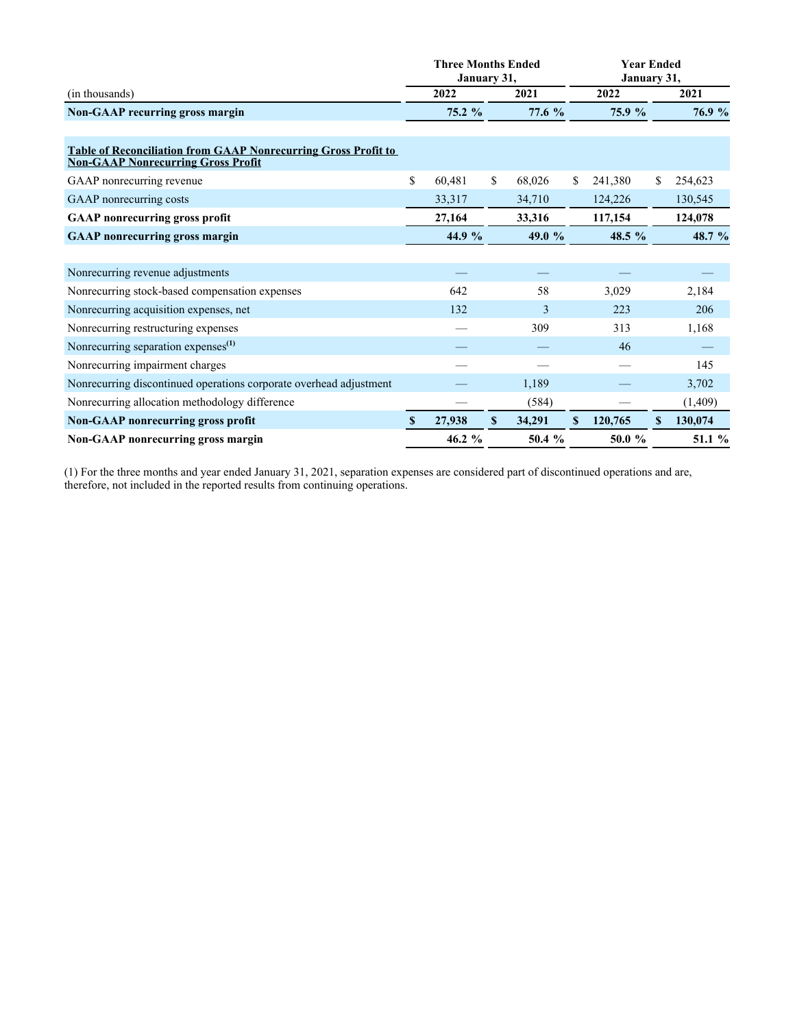|                                                                                                                    | <b>Three Months Ended</b><br>January 31, |        |             |          |     |           | <b>Year Ended</b><br>January 31, |          |
|--------------------------------------------------------------------------------------------------------------------|------------------------------------------|--------|-------------|----------|-----|-----------|----------------------------------|----------|
| (in thousands)                                                                                                     |                                          | 2022   |             | 2021     |     | 2022      |                                  | 2021     |
| <b>Non-GAAP</b> recurring gross margin                                                                             |                                          | 75.2 % |             | 77.6%    |     | 75.9 %    |                                  | 76.9 %   |
| <b>Table of Reconciliation from GAAP Nonrecurring Gross Profit to</b><br><b>Non-GAAP Nonrecurring Gross Profit</b> |                                          |        |             |          |     |           |                                  |          |
| GAAP nonrecurring revenue                                                                                          | \$                                       | 60,481 | \$          | 68,026   | \$. | 241,380   | S.                               | 254,623  |
| GAAP nonrecurring costs                                                                                            |                                          | 33,317 |             | 34,710   |     | 124,226   |                                  | 130,545  |
| <b>GAAP</b> nonrecurring gross profit                                                                              |                                          | 27,164 |             | 33,316   |     | 117,154   |                                  | 124,078  |
| <b>GAAP</b> nonrecurring gross margin                                                                              |                                          | 44.9 % |             | 49.0 $%$ |     | 48.5 $\%$ |                                  | 48.7 $%$ |
|                                                                                                                    |                                          |        |             |          |     |           |                                  |          |
| Nonrecurring revenue adjustments                                                                                   |                                          |        |             |          |     |           |                                  |          |
| Nonrecurring stock-based compensation expenses                                                                     |                                          | 642    |             | 58       |     | 3,029     |                                  | 2,184    |
| Nonrecurring acquisition expenses, net                                                                             |                                          | 132    |             | 3        |     | 223       |                                  | 206      |
| Nonrecurring restructuring expenses                                                                                |                                          |        |             | 309      |     | 313       |                                  | 1,168    |
| Nonrecurring separation expenses <sup>(1)</sup>                                                                    |                                          |        |             |          |     | 46        |                                  |          |
| Nonrecurring impairment charges                                                                                    |                                          |        |             |          |     |           |                                  | 145      |
| Nonrecurring discontinued operations corporate overhead adjustment                                                 |                                          |        |             | 1,189    |     |           |                                  | 3,702    |
| Nonrecurring allocation methodology difference                                                                     |                                          |        |             | (584)    |     |           |                                  | (1, 409) |
| <b>Non-GAAP nonrecurring gross profit</b>                                                                          | S                                        | 27,938 | $\mathbf S$ | 34,291   | S   | 120,765   | <sup>S</sup>                     | 130,074  |
| Non-GAAP nonrecurring gross margin                                                                                 |                                          | 46.2 % |             | 50.4 %   |     | 50.0%     |                                  | 51.1 %   |

(1) For the three months and year ended January 31, 2021, separation expenses are considered part of discontinued operations and are, therefore, not included in the reported results from continuing operations.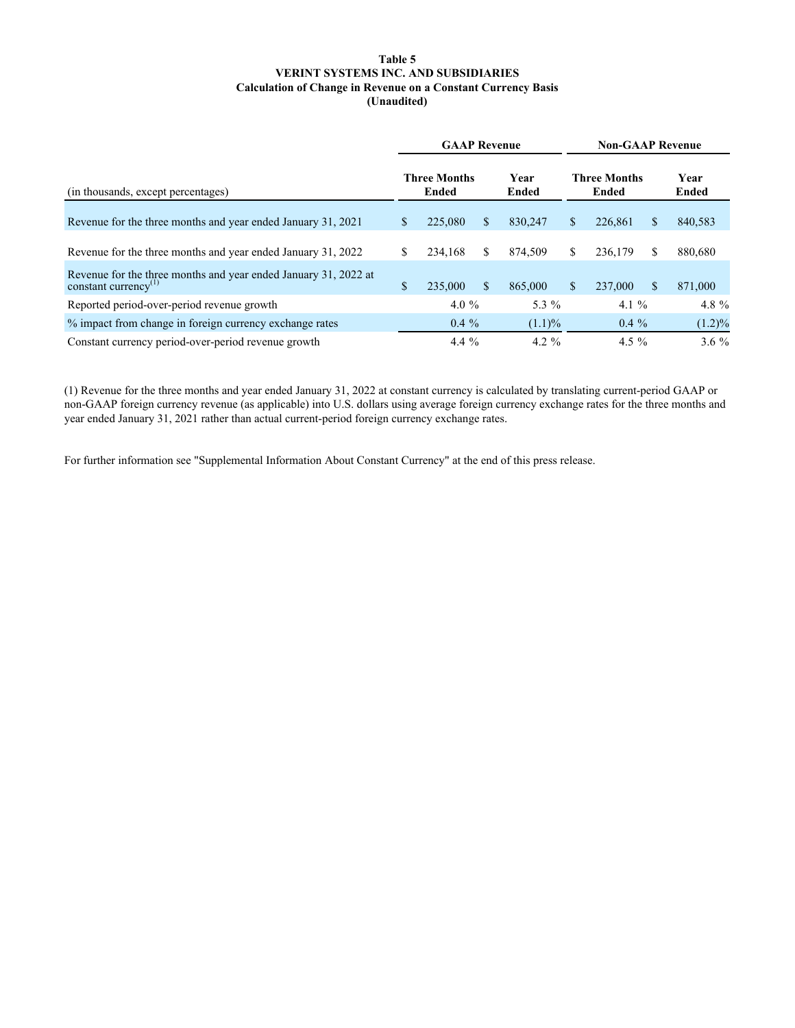#### **Table 5 VERINT SYSTEMS INC. AND SUBSIDIARIES Calculation of Change in Revenue on a Constant Currency Basis (Unaudited)**

|                                                                                                     | <b>GAAP Revenue</b> |                                     |    |                      |     | <b>Non-GAAP Revenue</b>      |    |                      |
|-----------------------------------------------------------------------------------------------------|---------------------|-------------------------------------|----|----------------------|-----|------------------------------|----|----------------------|
| (in thousands, except percentages)                                                                  |                     | <b>Three Months</b><br><b>Ended</b> |    | Year<br><b>Ended</b> |     | <b>Three Months</b><br>Ended |    | Year<br><b>Ended</b> |
| Revenue for the three months and year ended January 31, 2021                                        | \$                  | 225,080                             | S. | 830.247              | S.  | 226.861                      | S  | 840,583              |
| Revenue for the three months and year ended January 31, 2022                                        | S                   | 234,168                             |    | 874.509              | S   | 236.179                      | \$ | 880,680              |
| Revenue for the three months and year ended January 31, 2022 at<br>constant currency <sup>(1)</sup> | \$                  | 235,000                             | \$ | 865,000              | \$. | 237,000                      | \$ | 871,000              |
| Reported period-over-period revenue growth                                                          |                     | 4.0 $%$                             |    | 5.3 %                |     | 4.1 $%$                      |    | 4.8 $%$              |
| % impact from change in foreign currency exchange rates                                             |                     | $0.4\%$                             |    | $(1.1)\%$            |     | $0.4\%$                      |    | $(1.2)\%$            |
| Constant currency period-over-period revenue growth                                                 |                     | $4.4\%$                             |    | $4.2 \%$             |     | $4.5\%$                      |    | $3.6 \%$             |

(1) Revenue for the three months and year ended January 31, 2022 at constant currency is calculated by translating current-period GAAP or non-GAAP foreign currency revenue (as applicable) into U.S. dollars using average foreign currency exchange rates for the three months and year ended January 31, 2021 rather than actual current-period foreign currency exchange rates.

For further information see "Supplemental Information About Constant Currency" at the end of this press release.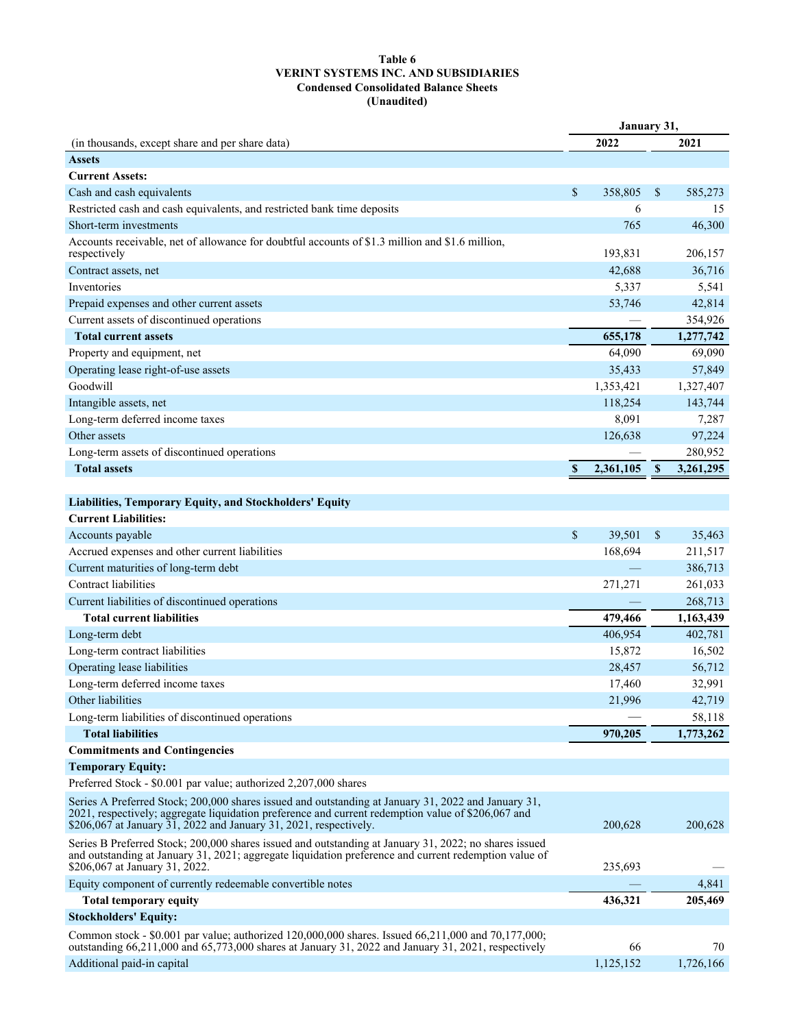#### **Table 6 VERINT SYSTEMS INC. AND SUBSIDIARIES Condensed Consolidated Balance Sheets (Unaudited)**

|                                                                                                                                                                                                                                                                                |              | January 31, |              |           |
|--------------------------------------------------------------------------------------------------------------------------------------------------------------------------------------------------------------------------------------------------------------------------------|--------------|-------------|--------------|-----------|
| (in thousands, except share and per share data)                                                                                                                                                                                                                                |              | 2022        |              | 2021      |
| <b>Assets</b>                                                                                                                                                                                                                                                                  |              |             |              |           |
| <b>Current Assets:</b>                                                                                                                                                                                                                                                         |              |             |              |           |
| Cash and cash equivalents                                                                                                                                                                                                                                                      | \$           | 358,805     | \$           | 585,273   |
| Restricted cash and cash equivalents, and restricted bank time deposits                                                                                                                                                                                                        |              | 6           |              | 15        |
| Short-term investments                                                                                                                                                                                                                                                         |              | 765         |              | 46,300    |
| Accounts receivable, net of allowance for doubtful accounts of \$1.3 million and \$1.6 million,<br>respectively                                                                                                                                                                |              | 193,831     |              | 206,157   |
| Contract assets, net                                                                                                                                                                                                                                                           |              | 42,688      |              | 36,716    |
| Inventories                                                                                                                                                                                                                                                                    |              | 5,337       |              | 5,541     |
| Prepaid expenses and other current assets                                                                                                                                                                                                                                      |              | 53,746      |              | 42,814    |
| Current assets of discontinued operations                                                                                                                                                                                                                                      |              |             |              | 354,926   |
| <b>Total current assets</b>                                                                                                                                                                                                                                                    |              | 655,178     |              | 1,277,742 |
| Property and equipment, net                                                                                                                                                                                                                                                    |              | 64,090      |              | 69,090    |
| Operating lease right-of-use assets                                                                                                                                                                                                                                            |              | 35,433      |              | 57,849    |
| Goodwill                                                                                                                                                                                                                                                                       |              | 1,353,421   |              | 1,327,407 |
| Intangible assets, net                                                                                                                                                                                                                                                         |              | 118,254     |              | 143,744   |
| Long-term deferred income taxes                                                                                                                                                                                                                                                |              | 8,091       |              | 7,287     |
| Other assets                                                                                                                                                                                                                                                                   |              | 126,638     |              | 97,224    |
| Long-term assets of discontinued operations                                                                                                                                                                                                                                    |              |             |              | 280,952   |
| <b>Total assets</b>                                                                                                                                                                                                                                                            | $\mathbf{s}$ | 2,361,105   | $\mathbf{s}$ | 3,261,295 |
|                                                                                                                                                                                                                                                                                |              |             |              |           |
| Liabilities, Temporary Equity, and Stockholders' Equity                                                                                                                                                                                                                        |              |             |              |           |
| <b>Current Liabilities:</b>                                                                                                                                                                                                                                                    |              |             |              |           |
| Accounts payable                                                                                                                                                                                                                                                               | \$           | 39,501      | S            | 35,463    |
| Accrued expenses and other current liabilities                                                                                                                                                                                                                                 |              | 168,694     |              | 211,517   |
| Current maturities of long-term debt                                                                                                                                                                                                                                           |              |             |              | 386,713   |
| Contract liabilities                                                                                                                                                                                                                                                           |              | 271,271     |              | 261,033   |
| Current liabilities of discontinued operations                                                                                                                                                                                                                                 |              |             |              | 268,713   |
| <b>Total current liabilities</b>                                                                                                                                                                                                                                               |              | 479,466     |              | 1,163,439 |
| Long-term debt                                                                                                                                                                                                                                                                 |              | 406,954     |              | 402,781   |
| Long-term contract liabilities                                                                                                                                                                                                                                                 |              | 15,872      |              | 16,502    |
| Operating lease liabilities                                                                                                                                                                                                                                                    |              | 28,457      |              | 56,712    |
| Long-term deferred income taxes                                                                                                                                                                                                                                                |              | 17,460      |              | 32,991    |
| Other liabilities                                                                                                                                                                                                                                                              |              | 21,996      |              | 42,719    |
| Long-term liabilities of discontinued operations                                                                                                                                                                                                                               |              |             |              | 58,118    |
| <b>Total liabilities</b>                                                                                                                                                                                                                                                       |              | 970,205     |              | 1,773,262 |
| <b>Commitments and Contingencies</b>                                                                                                                                                                                                                                           |              |             |              |           |
| <b>Temporary Equity:</b>                                                                                                                                                                                                                                                       |              |             |              |           |
| Preferred Stock - \$0.001 par value; authorized 2,207,000 shares                                                                                                                                                                                                               |              |             |              |           |
| Series A Preferred Stock; 200,000 shares issued and outstanding at January 31, 2022 and January 31,<br>2021, respectively; aggregate liquidation preference and current redemption value of \$206,067 and<br>\$206,067 at January 31, 2022 and January 31, 2021, respectively. |              | 200,628     |              | 200,628   |
| Series B Preferred Stock; 200,000 shares issued and outstanding at January 31, 2022; no shares issued<br>and outstanding at January 31, 2021; aggregate liquidation preference and current redemption value of<br>\$206,067 at January 31, 2022.                               |              | 235,693     |              |           |
| Equity component of currently redeemable convertible notes                                                                                                                                                                                                                     |              |             |              | 4,841     |
| <b>Total temporary equity</b>                                                                                                                                                                                                                                                  |              | 436,321     |              | 205,469   |
| <b>Stockholders' Equity:</b>                                                                                                                                                                                                                                                   |              |             |              |           |
| Common stock - \$0.001 par value; authorized 120,000,000 shares. Issued 66,211,000 and 70,177,000;<br>outstanding 66,211,000 and 65,773,000 shares at January 31, 2022 and January 31, 2021, respectively                                                                      |              | 66          |              | 70        |
| Additional paid-in capital                                                                                                                                                                                                                                                     |              | 1,125,152   |              | 1,726,166 |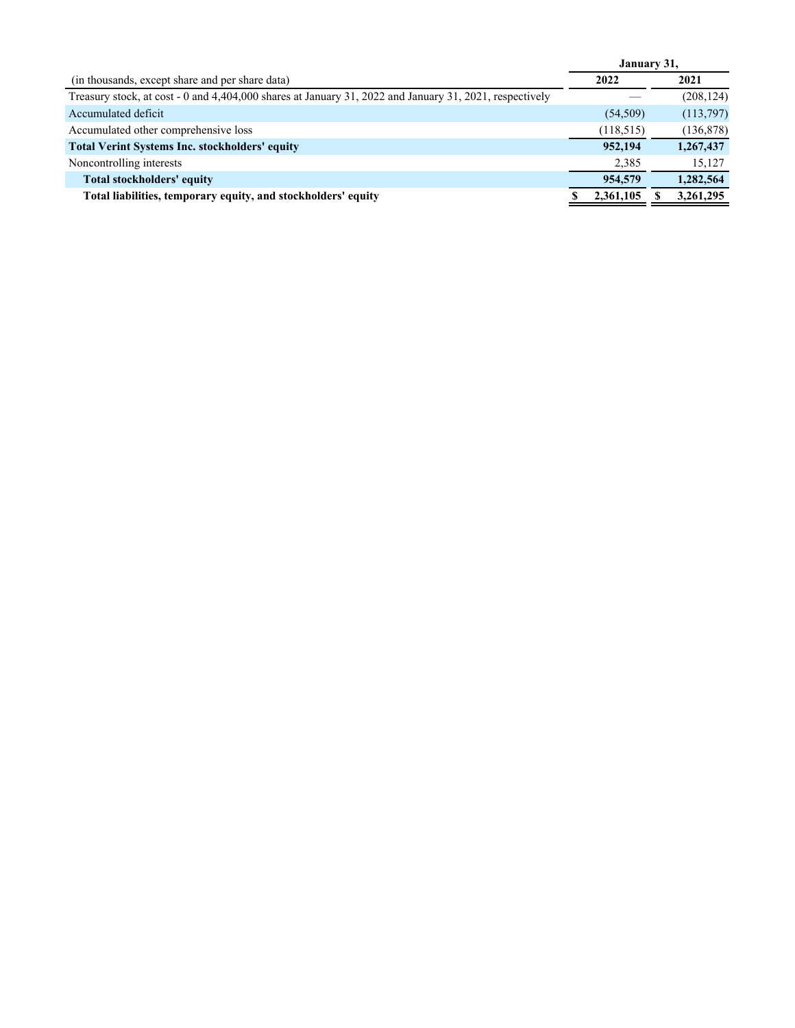| January 31, |            |
|-------------|------------|
| 2022        | 2021       |
|             | (208, 124) |
| (54, 509)   | (113,797)  |
| (118, 515)  | (136, 878) |
| 952,194     | 1,267,437  |
| 2,385       | 15,127     |
| 954,579     | 1,282,564  |
| 2,361,105   | 3,261,295  |
|             |            |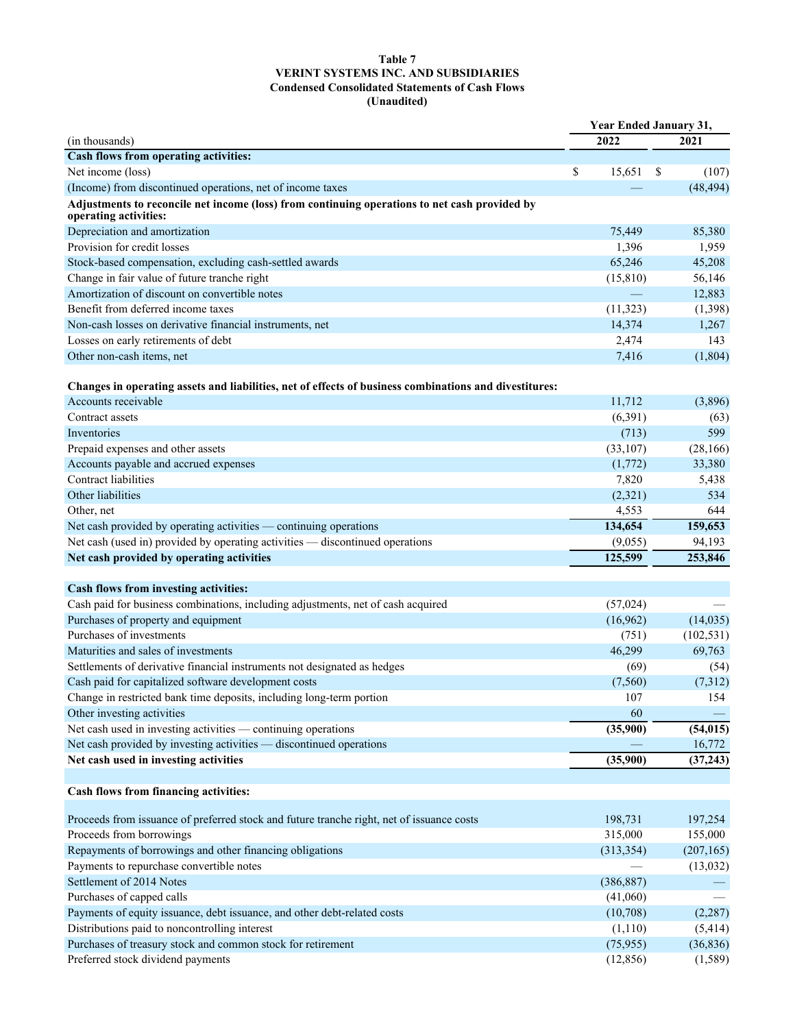#### **Table 7 VERINT SYSTEMS INC. AND SUBSIDIARIES Condensed Consolidated Statements of Cash Flows (Unaudited)**

|                                                                                                                        |              | <b>Year Ended January 31,</b> |  |
|------------------------------------------------------------------------------------------------------------------------|--------------|-------------------------------|--|
| (in thousands)                                                                                                         | 2022         | 2021                          |  |
| Cash flows from operating activities:                                                                                  |              |                               |  |
| Net income (loss)                                                                                                      | \$<br>15,651 | \$<br>(107)                   |  |
| (Income) from discontinued operations, net of income taxes                                                             |              | (48, 494)                     |  |
| Adjustments to reconcile net income (loss) from continuing operations to net cash provided by<br>operating activities: |              |                               |  |
| Depreciation and amortization                                                                                          | 75,449       | 85,380                        |  |
| Provision for credit losses                                                                                            | 1,396        | 1,959                         |  |
| Stock-based compensation, excluding cash-settled awards                                                                | 65,246       | 45,208                        |  |
| Change in fair value of future tranche right                                                                           | (15, 810)    | 56,146                        |  |
| Amortization of discount on convertible notes                                                                          |              | 12,883                        |  |
| Benefit from deferred income taxes                                                                                     | (11, 323)    | (1,398)                       |  |
| Non-cash losses on derivative financial instruments, net                                                               | 14,374       | 1,267                         |  |
| Losses on early retirements of debt                                                                                    | 2,474        | 143                           |  |
| Other non-cash items, net                                                                                              | 7,416        | (1,804)                       |  |
| Changes in operating assets and liabilities, net of effects of business combinations and divestitures:                 |              |                               |  |
| Accounts receivable                                                                                                    | 11,712       | (3,896)                       |  |
| Contract assets                                                                                                        | (6,391)      | (63)                          |  |
| Inventories                                                                                                            | (713)        | 599                           |  |
| Prepaid expenses and other assets                                                                                      | (33,107)     | (28, 166)                     |  |
| Accounts payable and accrued expenses                                                                                  | (1,772)      | 33,380                        |  |
| Contract liabilities                                                                                                   | 7,820        | 5,438                         |  |
| Other liabilities                                                                                                      | (2,321)      | 534                           |  |
| Other, net                                                                                                             | 4,553        | 644                           |  |
| Net cash provided by operating activities — continuing operations                                                      | 134,654      | 159,653                       |  |
| Net cash (used in) provided by operating activities - discontinued operations                                          | (9,055)      | 94,193                        |  |
| Net cash provided by operating activities                                                                              | 125,599      | 253,846                       |  |
| Cash flows from investing activities:                                                                                  |              |                               |  |
| Cash paid for business combinations, including adjustments, net of cash acquired                                       | (57, 024)    |                               |  |
| Purchases of property and equipment                                                                                    | (16,962)     | (14,035)                      |  |
| Purchases of investments                                                                                               | (751)        | (102, 531)                    |  |
| Maturities and sales of investments                                                                                    | 46,299       | 69,763                        |  |
| Settlements of derivative financial instruments not designated as hedges                                               | (69)         | (54)                          |  |
| Cash paid for capitalized software development costs                                                                   | (7,560)      | (7,312)                       |  |
| Change in restricted bank time deposits, including long-term portion                                                   | 107          | 154                           |  |
| Other investing activities                                                                                             | 60           |                               |  |
| Net cash used in investing activities — continuing operations                                                          | (35,900)     | (54, 015)                     |  |
| Net cash provided by investing activities - discontinued operations                                                    |              | 16,772                        |  |
| Net cash used in investing activities                                                                                  | (35,900)     | (37, 243)                     |  |
|                                                                                                                        |              |                               |  |
| Cash flows from financing activities:                                                                                  |              |                               |  |
| Proceeds from issuance of preferred stock and future tranche right, net of issuance costs                              | 198,731      | 197,254                       |  |
| Proceeds from borrowings                                                                                               | 315,000      | 155,000                       |  |
| Repayments of borrowings and other financing obligations                                                               | (313, 354)   | (207, 165)                    |  |
| Payments to repurchase convertible notes                                                                               |              | (13,032)                      |  |
| Settlement of 2014 Notes                                                                                               | (386, 887)   |                               |  |
| Purchases of capped calls                                                                                              | (41,060)     |                               |  |
| Payments of equity issuance, debt issuance, and other debt-related costs                                               | (10,708)     | (2, 287)                      |  |
| Distributions paid to noncontrolling interest                                                                          | (1,110)      | (5, 414)                      |  |
| Purchases of treasury stock and common stock for retirement                                                            | (75, 955)    | (36, 836)                     |  |
| Preferred stock dividend payments                                                                                      | (12, 856)    | (1, 589)                      |  |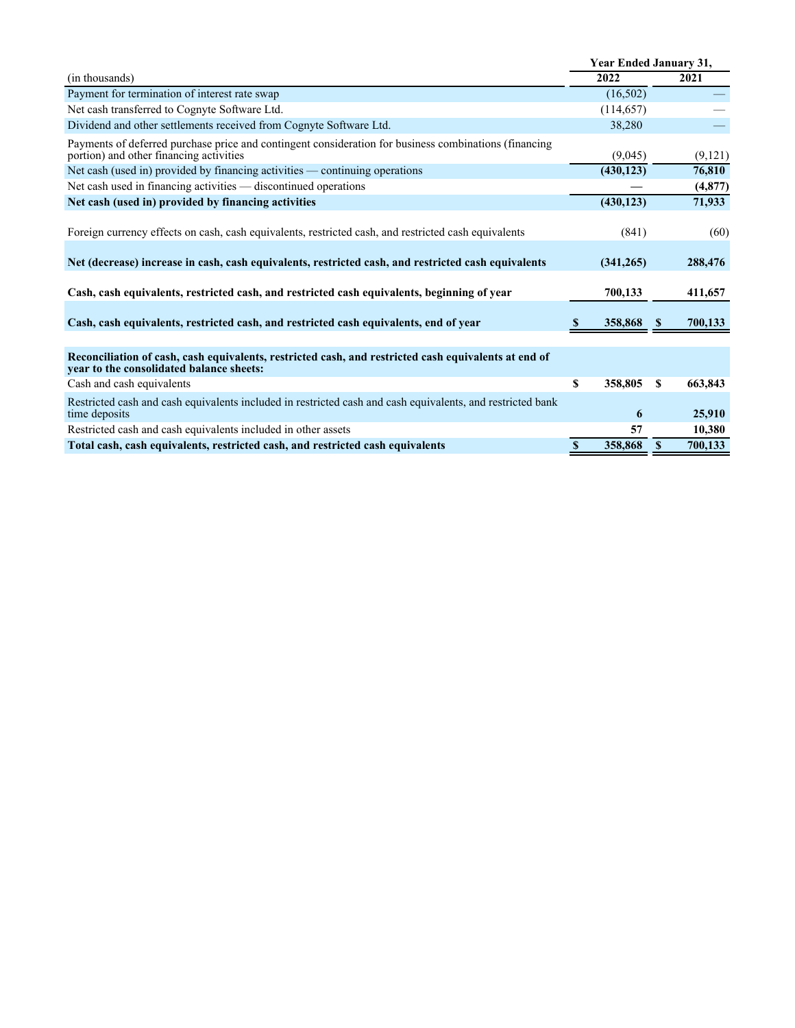|                                                                                                                                                  | <b>Year Ended January 31,</b> |            |              |          |  |
|--------------------------------------------------------------------------------------------------------------------------------------------------|-------------------------------|------------|--------------|----------|--|
| (in thousands)                                                                                                                                   |                               | 2022       |              | 2021     |  |
| Payment for termination of interest rate swap                                                                                                    |                               | (16,502)   |              |          |  |
| Net cash transferred to Cognyte Software Ltd.                                                                                                    |                               | (114, 657) |              |          |  |
| Dividend and other settlements received from Cognyte Software Ltd.                                                                               |                               | 38,280     |              |          |  |
| Payments of deferred purchase price and contingent consideration for business combinations (financing<br>portion) and other financing activities |                               | (9,045)    |              | (9,121)  |  |
| Net cash (used in) provided by financing activities — continuing operations                                                                      |                               | (430, 123) |              | 76,810   |  |
| Net cash used in financing activities — discontinued operations                                                                                  |                               |            |              | (4, 877) |  |
| Net cash (used in) provided by financing activities                                                                                              |                               | (430, 123) |              | 71,933   |  |
| Foreign currency effects on cash, cash equivalents, restricted cash, and restricted cash equivalents                                             |                               | (841)      |              | (60)     |  |
| Net (decrease) increase in cash, cash equivalents, restricted cash, and restricted cash equivalents                                              |                               | (341, 265) |              | 288,476  |  |
| Cash, cash equivalents, restricted cash, and restricted cash equivalents, beginning of year                                                      |                               | 700,133    |              | 411,657  |  |
| Cash, cash equivalents, restricted cash, and restricted cash equivalents, end of year                                                            |                               | 358,868    | S,           | 700,133  |  |
| Reconciliation of cash, cash equivalents, restricted cash, and restricted cash equivalents at end of<br>year to the consolidated balance sheets: |                               |            |              |          |  |
| Cash and cash equivalents                                                                                                                        | S                             | 358,805    | S            | 663,843  |  |
| Restricted cash and cash equivalents included in restricted cash and cash equivalents, and restricted bank<br>time deposits                      |                               | 6          |              | 25,910   |  |
| Restricted cash and cash equivalents included in other assets                                                                                    |                               | 57         |              | 10,380   |  |
| Total cash, cash equivalents, restricted cash, and restricted cash equivalents                                                                   | $\mathbf{s}$                  | 358,868    | $\mathbf{s}$ | 700,133  |  |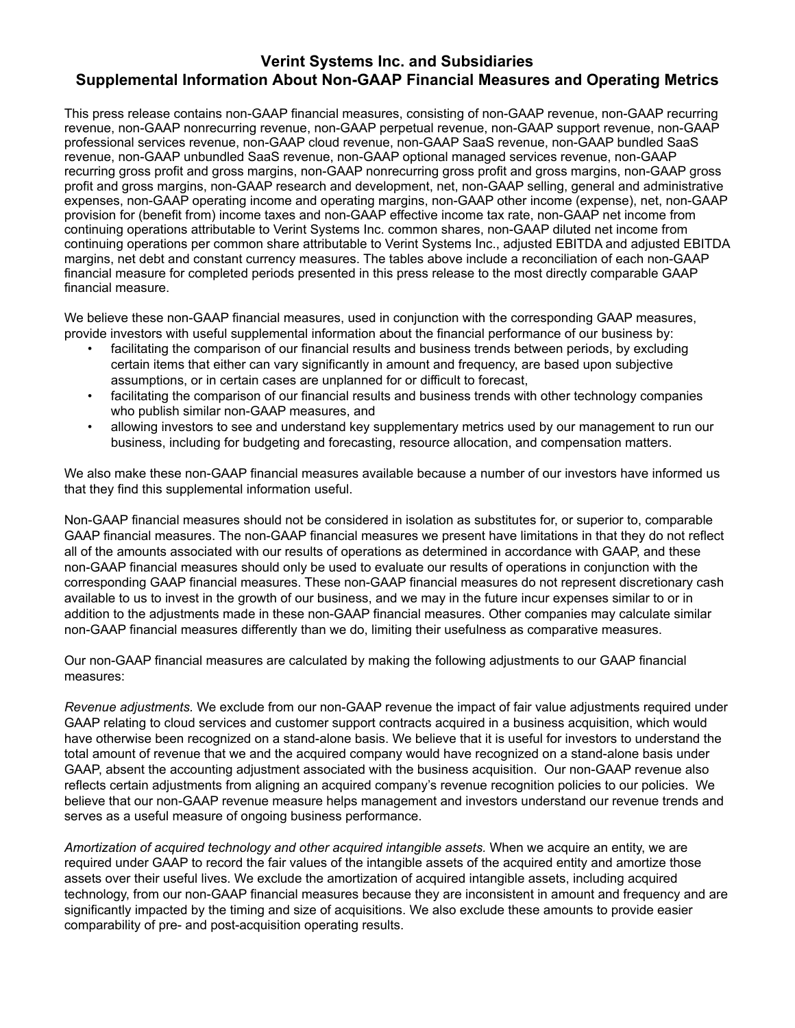## **Verint Systems Inc. and Subsidiaries Supplemental Information About Non-GAAP Financial Measures and Operating Metrics**

This press release contains non-GAAP financial measures, consisting of non-GAAP revenue, non-GAAP recurring revenue, non-GAAP nonrecurring revenue, non-GAAP perpetual revenue, non-GAAP support revenue, non-GAAP professional services revenue, non-GAAP cloud revenue, non-GAAP SaaS revenue, non-GAAP bundled SaaS revenue, non-GAAP unbundled SaaS revenue, non-GAAP optional managed services revenue, non-GAAP recurring gross profit and gross margins, non-GAAP nonrecurring gross profit and gross margins, non-GAAP gross profit and gross margins, non-GAAP research and development, net, non-GAAP selling, general and administrative expenses, non-GAAP operating income and operating margins, non-GAAP other income (expense), net, non-GAAP provision for (benefit from) income taxes and non-GAAP effective income tax rate, non-GAAP net income from continuing operations attributable to Verint Systems Inc. common shares, non-GAAP diluted net income from continuing operations per common share attributable to Verint Systems Inc., adjusted EBITDA and adjusted EBITDA margins, net debt and constant currency measures. The tables above include a reconciliation of each non-GAAP financial measure for completed periods presented in this press release to the most directly comparable GAAP financial measure.

We believe these non-GAAP financial measures, used in conjunction with the corresponding GAAP measures, provide investors with useful supplemental information about the financial performance of our business by:

- *•* facilitating the comparison of our financial results and business trends between periods, by excluding certain items that either can vary significantly in amount and frequency, are based upon subjective assumptions, or in certain cases are unplanned for or difficult to forecast,
- facilitating the comparison of our financial results and business trends with other technology companies who publish similar non-GAAP measures, and
- allowing investors to see and understand key supplementary metrics used by our management to run our business, including for budgeting and forecasting, resource allocation, and compensation matters.

We also make these non-GAAP financial measures available because a number of our investors have informed us that they find this supplemental information useful.

Non-GAAP financial measures should not be considered in isolation as substitutes for, or superior to, comparable GAAP financial measures. The non-GAAP financial measures we present have limitations in that they do not reflect all of the amounts associated with our results of operations as determined in accordance with GAAP, and these non-GAAP financial measures should only be used to evaluate our results of operations in conjunction with the corresponding GAAP financial measures. These non-GAAP financial measures do not represent discretionary cash available to us to invest in the growth of our business, and we may in the future incur expenses similar to or in addition to the adjustments made in these non-GAAP financial measures. Other companies may calculate similar non-GAAP financial measures differently than we do, limiting their usefulness as comparative measures.

Our non-GAAP financial measures are calculated by making the following adjustments to our GAAP financial measures:

*Revenue adjustments.* We exclude from our non-GAAP revenue the impact of fair value adjustments required under GAAP relating to cloud services and customer support contracts acquired in a business acquisition, which would have otherwise been recognized on a stand-alone basis. We believe that it is useful for investors to understand the total amount of revenue that we and the acquired company would have recognized on a stand-alone basis under GAAP, absent the accounting adjustment associated with the business acquisition. Our non-GAAP revenue also reflects certain adjustments from aligning an acquired company's revenue recognition policies to our policies. We believe that our non-GAAP revenue measure helps management and investors understand our revenue trends and serves as a useful measure of ongoing business performance.

*Amortization of acquired technology and other acquired intangible assets.* When we acquire an entity, we are required under GAAP to record the fair values of the intangible assets of the acquired entity and amortize those assets over their useful lives. We exclude the amortization of acquired intangible assets, including acquired technology, from our non-GAAP financial measures because they are inconsistent in amount and frequency and are significantly impacted by the timing and size of acquisitions. We also exclude these amounts to provide easier comparability of pre- and post-acquisition operating results.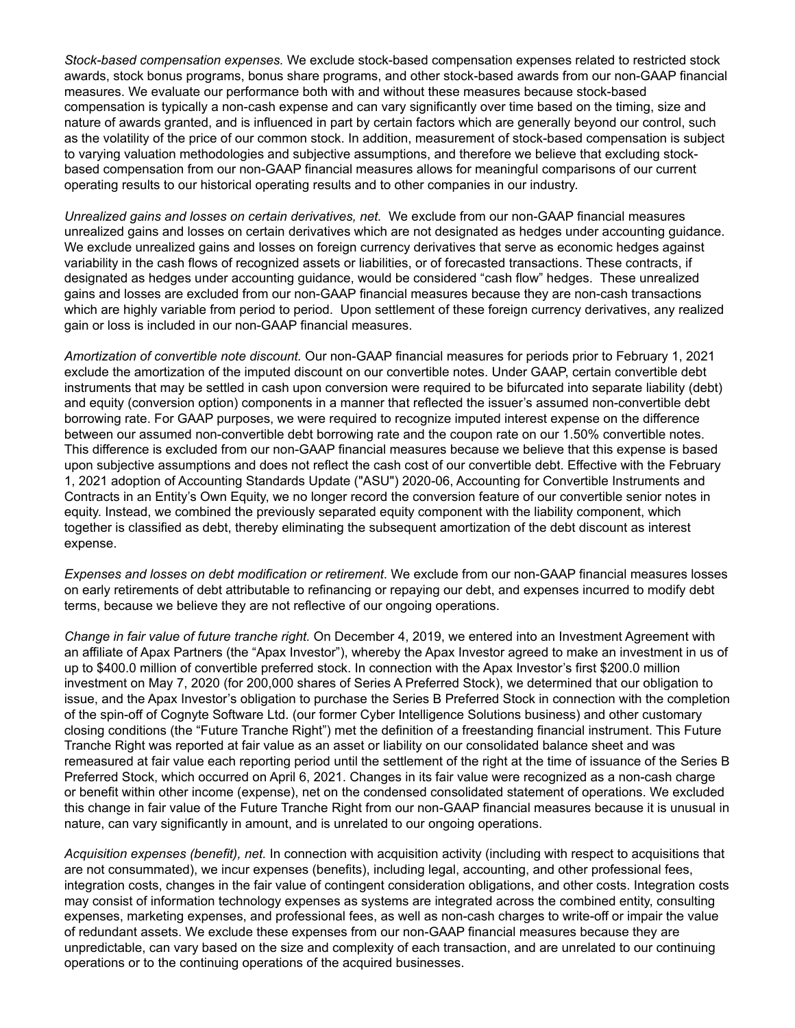*Stock-based compensation expenses.* We exclude stock-based compensation expenses related to restricted stock awards, stock bonus programs, bonus share programs, and other stock-based awards from our non-GAAP financial measures. We evaluate our performance both with and without these measures because stock-based compensation is typically a non-cash expense and can vary significantly over time based on the timing, size and nature of awards granted, and is influenced in part by certain factors which are generally beyond our control, such as the volatility of the price of our common stock. In addition, measurement of stock-based compensation is subject to varying valuation methodologies and subjective assumptions, and therefore we believe that excluding stockbased compensation from our non-GAAP financial measures allows for meaningful comparisons of our current operating results to our historical operating results and to other companies in our industry.

*Unrealized gains and losses on certain derivatives, net.* We exclude from our non-GAAP financial measures unrealized gains and losses on certain derivatives which are not designated as hedges under accounting guidance. We exclude unrealized gains and losses on foreign currency derivatives that serve as economic hedges against variability in the cash flows of recognized assets or liabilities, or of forecasted transactions. These contracts, if designated as hedges under accounting guidance, would be considered "cash flow" hedges. These unrealized gains and losses are excluded from our non-GAAP financial measures because they are non-cash transactions which are highly variable from period to period. Upon settlement of these foreign currency derivatives, any realized gain or loss is included in our non-GAAP financial measures.

*Amortization of convertible note discount.* Our non-GAAP financial measures for periods prior to February 1, 2021 exclude the amortization of the imputed discount on our convertible notes. Under GAAP, certain convertible debt instruments that may be settled in cash upon conversion were required to be bifurcated into separate liability (debt) and equity (conversion option) components in a manner that reflected the issuer's assumed non-convertible debt borrowing rate. For GAAP purposes, we were required to recognize imputed interest expense on the difference between our assumed non-convertible debt borrowing rate and the coupon rate on our 1.50% convertible notes. This difference is excluded from our non-GAAP financial measures because we believe that this expense is based upon subjective assumptions and does not reflect the cash cost of our convertible debt. Effective with the February 1, 2021 adoption of Accounting Standards Update ("ASU") 2020-06, Accounting for Convertible Instruments and Contracts in an Entity's Own Equity, we no longer record the conversion feature of our convertible senior notes in equity. Instead, we combined the previously separated equity component with the liability component, which together is classified as debt, thereby eliminating the subsequent amortization of the debt discount as interest expense.

*Expenses and losses on debt modification or retirement*. We exclude from our non-GAAP financial measures losses on early retirements of debt attributable to refinancing or repaying our debt, and expenses incurred to modify debt terms, because we believe they are not reflective of our ongoing operations.

*Change in fair value of future tranche right.* On December 4, 2019, we entered into an Investment Agreement with an affiliate of Apax Partners (the "Apax Investor"), whereby the Apax Investor agreed to make an investment in us of up to \$400.0 million of convertible preferred stock. In connection with the Apax Investor's first \$200.0 million investment on May 7, 2020 (for 200,000 shares of Series A Preferred Stock), we determined that our obligation to issue, and the Apax Investor's obligation to purchase the Series B Preferred Stock in connection with the completion of the spin-off of Cognyte Software Ltd. (our former Cyber Intelligence Solutions business) and other customary closing conditions (the "Future Tranche Right") met the definition of a freestanding financial instrument. This Future Tranche Right was reported at fair value as an asset or liability on our consolidated balance sheet and was remeasured at fair value each reporting period until the settlement of the right at the time of issuance of the Series B Preferred Stock, which occurred on April 6, 2021. Changes in its fair value were recognized as a non-cash charge or benefit within other income (expense), net on the condensed consolidated statement of operations. We excluded this change in fair value of the Future Tranche Right from our non-GAAP financial measures because it is unusual in nature, can vary significantly in amount, and is unrelated to our ongoing operations.

*Acquisition expenses (benefit), net.* In connection with acquisition activity (including with respect to acquisitions that are not consummated), we incur expenses (benefits), including legal, accounting, and other professional fees, integration costs, changes in the fair value of contingent consideration obligations, and other costs. Integration costs may consist of information technology expenses as systems are integrated across the combined entity, consulting expenses, marketing expenses, and professional fees, as well as non-cash charges to write-off or impair the value of redundant assets. We exclude these expenses from our non-GAAP financial measures because they are unpredictable, can vary based on the size and complexity of each transaction, and are unrelated to our continuing operations or to the continuing operations of the acquired businesses.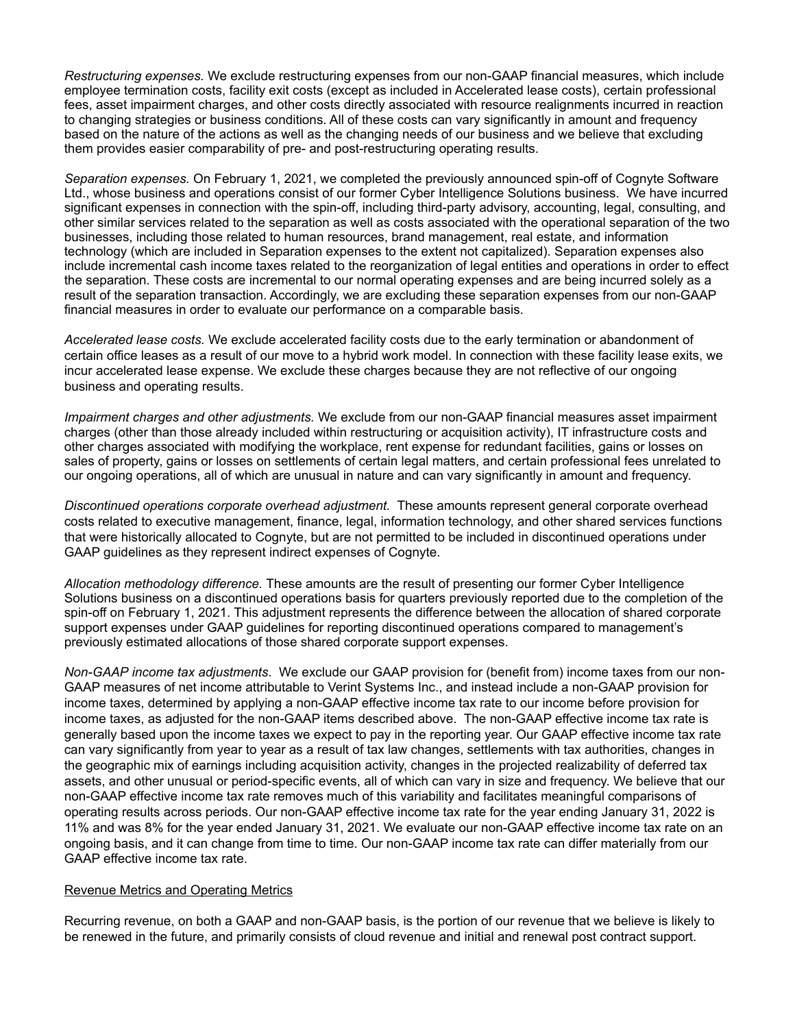*Restructuring expenses.* We exclude restructuring expenses from our non-GAAP financial measures, which include employee termination costs, facility exit costs (except as included in Accelerated lease costs), certain professional fees, asset impairment charges, and other costs directly associated with resource realignments incurred in reaction to changing strategies or business conditions. All of these costs can vary significantly in amount and frequency based on the nature of the actions as well as the changing needs of our business and we believe that excluding them provides easier comparability of pre- and post-restructuring operating results.

*Separation expenses.* On February 1, 2021, we completed the previously announced spin-off of Cognyte Software Ltd., whose business and operations consist of our former Cyber Intelligence Solutions business. We have incurred significant expenses in connection with the spin-off, including third-party advisory, accounting, legal, consulting, and other similar services related to the separation as well as costs associated with the operational separation of the two businesses, including those related to human resources, brand management, real estate, and information technology (which are included in Separation expenses to the extent not capitalized). Separation expenses also include incremental cash income taxes related to the reorganization of legal entities and operations in order to effect the separation. These costs are incremental to our normal operating expenses and are being incurred solely as a result of the separation transaction. Accordingly, we are excluding these separation expenses from our non-GAAP financial measures in order to evaluate our performance on a comparable basis.

*Accelerated lease costs.* We exclude accelerated facility costs due to the early termination or abandonment of certain office leases as a result of our move to a hybrid work model. In connection with these facility lease exits, we incur accelerated lease expense. We exclude these charges because they are not reflective of our ongoing business and operating results.

*Impairment charges and other adjustments.* We exclude from our non-GAAP financial measures asset impairment charges (other than those already included within restructuring or acquisition activity), IT infrastructure costs and other charges associated with modifying the workplace, rent expense for redundant facilities, gains or losses on sales of property, gains or losses on settlements of certain legal matters, and certain professional fees unrelated to our ongoing operations, all of which are unusual in nature and can vary significantly in amount and frequency.

*Discontinued operations corporate overhead adjustment.* These amounts represent general corporate overhead costs related to executive management, finance, legal, information technology, and other shared services functions that were historically allocated to Cognyte, but are not permitted to be included in discontinued operations under GAAP guidelines as they represent indirect expenses of Cognyte.

*Allocation methodology difference.* These amounts are the result of presenting our former Cyber Intelligence Solutions business on a discontinued operations basis for quarters previously reported due to the completion of the spin-off on February 1, 2021. This adjustment represents the difference between the allocation of shared corporate support expenses under GAAP guidelines for reporting discontinued operations compared to management's previously estimated allocations of those shared corporate support expenses.

*Non-GAAP income tax adjustments*. We exclude our GAAP provision for (benefit from) income taxes from our non-GAAP measures of net income attributable to Verint Systems Inc., and instead include a non-GAAP provision for income taxes, determined by applying a non-GAAP effective income tax rate to our income before provision for income taxes, as adjusted for the non-GAAP items described above. The non-GAAP effective income tax rate is generally based upon the income taxes we expect to pay in the reporting year. Our GAAP effective income tax rate can vary significantly from year to year as a result of tax law changes, settlements with tax authorities, changes in the geographic mix of earnings including acquisition activity, changes in the projected realizability of deferred tax assets, and other unusual or period-specific events, all of which can vary in size and frequency. We believe that our non-GAAP effective income tax rate removes much of this variability and facilitates meaningful comparisons of operating results across periods. Our non-GAAP effective income tax rate for the year ending January 31, 2022 is 11% and was 8% for the year ended January 31, 2021. We evaluate our non-GAAP effective income tax rate on an ongoing basis, and it can change from time to time. Our non-GAAP income tax rate can differ materially from our GAAP effective income tax rate.

## Revenue Metrics and Operating Metrics

Recurring revenue, on both a GAAP and non-GAAP basis, is the portion of our revenue that we believe is likely to be renewed in the future, and primarily consists of cloud revenue and initial and renewal post contract support.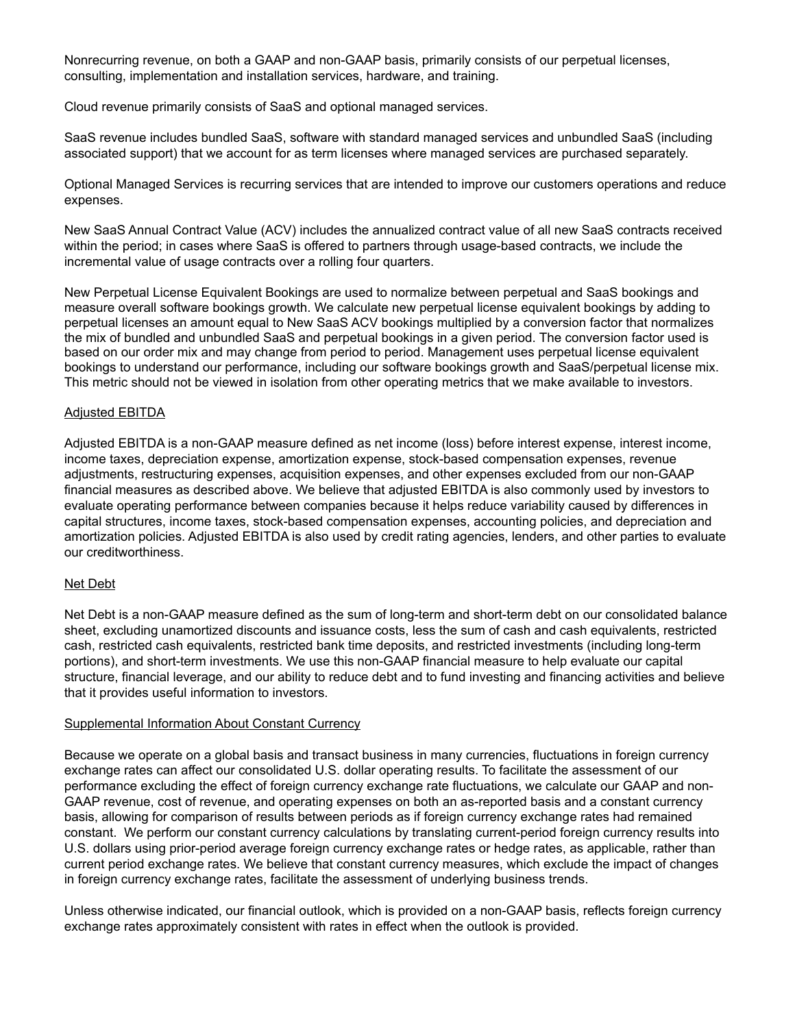Nonrecurring revenue, on both a GAAP and non-GAAP basis, primarily consists of our perpetual licenses, consulting, implementation and installation services, hardware, and training.

Cloud revenue primarily consists of SaaS and optional managed services.

SaaS revenue includes bundled SaaS, software with standard managed services and unbundled SaaS (including associated support) that we account for as term licenses where managed services are purchased separately.

Optional Managed Services is recurring services that are intended to improve our customers operations and reduce expenses.

New SaaS Annual Contract Value (ACV) includes the annualized contract value of all new SaaS contracts received within the period; in cases where SaaS is offered to partners through usage-based contracts, we include the incremental value of usage contracts over a rolling four quarters.

New Perpetual License Equivalent Bookings are used to normalize between perpetual and SaaS bookings and measure overall software bookings growth. We calculate new perpetual license equivalent bookings by adding to perpetual licenses an amount equal to New SaaS ACV bookings multiplied by a conversion factor that normalizes the mix of bundled and unbundled SaaS and perpetual bookings in a given period. The conversion factor used is based on our order mix and may change from period to period. Management uses perpetual license equivalent bookings to understand our performance, including our software bookings growth and SaaS/perpetual license mix. This metric should not be viewed in isolation from other operating metrics that we make available to investors.

#### Adjusted EBITDA

Adjusted EBITDA is a non-GAAP measure defined as net income (loss) before interest expense, interest income, income taxes, depreciation expense, amortization expense, stock-based compensation expenses, revenue adjustments, restructuring expenses, acquisition expenses, and other expenses excluded from our non-GAAP financial measures as described above. We believe that adjusted EBITDA is also commonly used by investors to evaluate operating performance between companies because it helps reduce variability caused by differences in capital structures, income taxes, stock-based compensation expenses, accounting policies, and depreciation and amortization policies. Adjusted EBITDA is also used by credit rating agencies, lenders, and other parties to evaluate our creditworthiness.

#### Net Debt

Net Debt is a non-GAAP measure defined as the sum of long-term and short-term debt on our consolidated balance sheet, excluding unamortized discounts and issuance costs, less the sum of cash and cash equivalents, restricted cash, restricted cash equivalents, restricted bank time deposits, and restricted investments (including long-term portions), and short-term investments. We use this non-GAAP financial measure to help evaluate our capital structure, financial leverage, and our ability to reduce debt and to fund investing and financing activities and believe that it provides useful information to investors.

#### Supplemental Information About Constant Currency

Because we operate on a global basis and transact business in many currencies, fluctuations in foreign currency exchange rates can affect our consolidated U.S. dollar operating results. To facilitate the assessment of our performance excluding the effect of foreign currency exchange rate fluctuations, we calculate our GAAP and non-GAAP revenue, cost of revenue, and operating expenses on both an as-reported basis and a constant currency basis, allowing for comparison of results between periods as if foreign currency exchange rates had remained constant. We perform our constant currency calculations by translating current-period foreign currency results into U.S. dollars using prior-period average foreign currency exchange rates or hedge rates, as applicable, rather than current period exchange rates. We believe that constant currency measures, which exclude the impact of changes in foreign currency exchange rates, facilitate the assessment of underlying business trends.

Unless otherwise indicated, our financial outlook, which is provided on a non-GAAP basis, reflects foreign currency exchange rates approximately consistent with rates in effect when the outlook is provided.